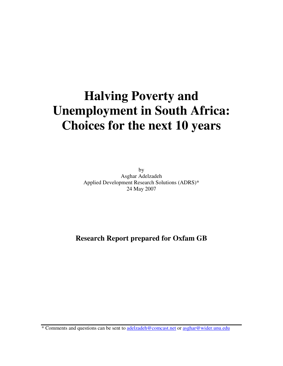# **Halving Poverty and Unemployment in South Africa: Choices for the next 10 years**

by Asghar Adelzadeh Applied Development Research Solutions (ADRS)\* 24 May 2007

# **Research Report prepared for Oxfam GB**

\* Comments and questions can be sent to adelzadeh@comcast.net or asghar@wider.unu.edu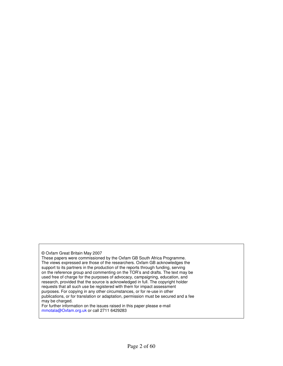© Oxfam Great Britain May 2007

These papers were commissioned by the Oxfam GB South Africa Programme. The views expressed are those of the researchers. Oxfam GB acknowledges the support to its partners in the production of the reports through funding, serving on the reference group and commenting on the TOR's and drafts. The text may be used free of charge for the purposes of advocacy, campaigning, education, and research, provided that the source is acknowledged in full. The copyright holder requests that all such use be registered with them for impact assessment purposes. For copying in any other circumstances, or for re-use in other publications, or for translation or adaptation, permission must be secured and a fee may be charged.

For further information on the issues raised in this paper please e-mail mmotala@Oxfam.org.uk or call 2711 6429283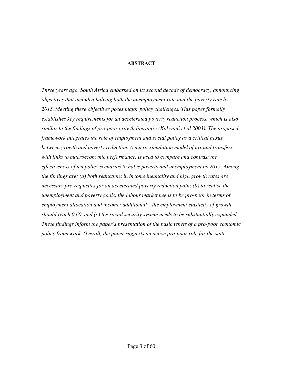#### **ABSTRACT**

*Three years ago, South Africa embarked on its second decade of democracy, announcing objectives that included halving both the unemployment rate and the poverty rate by 2015. Meeting these objectives poses major policy challenges. This paper formally establishes key requirements for an accelerated poverty reduction process, which is also similar to the findings of pro-poor growth literature (Kakwani et al 2003). The proposed framework integrates the role of employment and social policy as a critical nexus between growth and poverty reduction. A micro-simulation model of tax and transfers, with links to macroeconomic performance, is used to compare and contrast the effectiveness of ten policy scenarios to halve poverty and unemployment by 2015. Among the findings are: (a) both reductions in income inequality and high growth rates are necessary pre-requisites for an accelerated poverty reduction path; (b) to realise the unemployment and poverty goals, the labour market needs to be pro-poor in terms of employment allocation and income; additionally, the employment elasticity of growth should reach 0.60, and (c) the social security system needs to be substantially expanded. These findings inform the paper's presentation of the basic tenets of a pro-poor economic policy framework. Overall, the paper suggests an active pro-poor role for the state.*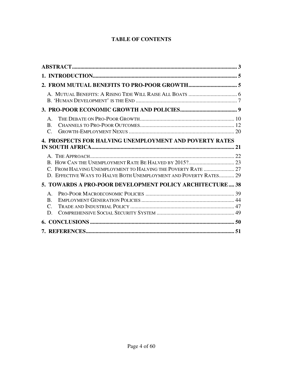# **TABLE OF CONTENTS**

| $\mathbf{A}$<br>$\bf{B}$<br>$\mathcal{C}_{\cdot}$                                                                                 |  |
|-----------------------------------------------------------------------------------------------------------------------------------|--|
| 4. PROSPECTS FOR HALVING UNEMPLOYMENT AND POVERTY RATES                                                                           |  |
| C. FROM HALVING UNEMPLOYMENT TO HALVING THE POVERTY RATE  27<br>D. EFFECTIVE WAYS TO HALVE BOTH UNEMPLOYMENT AND POVERTY RATES 29 |  |
| 5. TOWARDS A PRO-POOR DEVELOPMENT POLICY ARCHITECTURE 38                                                                          |  |
| $\mathbf{A}$<br>$\bf{B}$<br>$\mathcal{C}_{\cdot}$<br>D.                                                                           |  |
|                                                                                                                                   |  |
|                                                                                                                                   |  |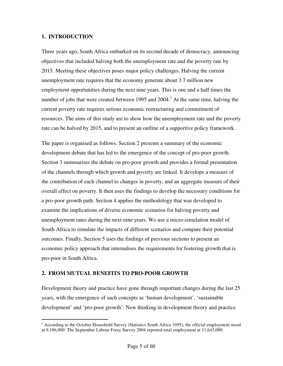#### **1. INTRODUCTION**

Three years ago, South Africa embarked on its second decade of democracy, announcing objectives that included halving both the unemployment rate and the poverty rate by 2015. Meeting these objectives poses major policy challenges. Halving the current unemployment rate requires that the economy generate about 3.7 million new employment opportunities during the next nine years. This is one and a half times the number of jobs that were created between 1995 and  $2004<sup>1</sup>$ . At the same time, halving the current poverty rate requires serious economic restructuring and commitment of resources. The aims of this study are to show how the unemployment rate and the poverty rate can be halved by 2015, and to present an outline of a supportive policy framework.

The paper is organised as follows. Section 2 presents a summary of the economic development debate that has led to the emergence of the concept of pro-poor growth. Section 3 summarises the debate on pro-poor growth and provides a formal presentation of the channels through which growth and poverty are linked. It develops a measure of the contribution of each channel to changes in poverty, and an aggregate measure of their overall effect on poverty. It then uses the findings to develop the necessary conditions for a pro-poor growth path. Section 4 applies the methodology that was developed to examine the implications of diverse economic scenarios for halving poverty and unemployment rates during the next nine years. We use a micro-simulation model of South Africa to simulate the impacts of different scenarios and compare their potential outcomes. Finally, Section 5 uses the findings of previous sections to present an economic policy approach that internalises the requirements for fostering growth that is pro-poor in South Africa.

#### **2. FROM MUTUAL BENEFITS TO PRO-POOR GROWTH**

Development theory and practice have gone through important changes during the last 25 years, with the emergence of such concepts as 'human development', 'sustainable development' and 'pro-poor growth'. New thinking in development theory and practice

<sup>&</sup>lt;sup>1</sup> According to the October Household Survey (Statistics South Africa 1995), the official employment stood at 9,186,000. The September Labour Force Survey 2004 reported total employment at 11,643,000.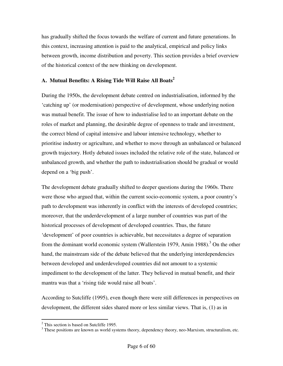has gradually shifted the focus towards the welfare of current and future generations. In this context, increasing attention is paid to the analytical, empirical and policy links between growth, income distribution and poverty. This section provides a brief overview of the historical context of the new thinking on development.

#### **A. Mutual Benefits: A Rising Tide Will Raise All Boats<sup>2</sup>**

During the 1950s, the development debate centred on industrialisation, informed by the 'catching up' (or modernisation) perspective of development, whose underlying notion was mutual benefit. The issue of how to industrialise led to an important debate on the roles of market and planning, the desirable degree of openness to trade and investment, the correct blend of capital intensive and labour intensive technology, whether to prioritise industry or agriculture, and whether to move through an unbalanced or balanced growth trajectory. Hotly debated issues included the relative role of the state, balanced or unbalanced growth, and whether the path to industrialisation should be gradual or would depend on a 'big push'.

The development debate gradually shifted to deeper questions during the 1960s. There were those who argued that, within the current socio-economic system, a poor country's path to development was inherently in conflict with the interests of developed countries; moreover, that the underdevelopment of a large number of countries was part of the historical processes of development of developed countries. Thus, the future 'development' of poor countries is achievable, but necessitates a degree of separation from the dominant world economic system (Wallerstein 1979, Amin 1988).<sup>3</sup> On the other hand, the mainstream side of the debate believed that the underlying interdependencies between developed and underdeveloped countries did not amount to a systemic impediment to the development of the latter. They believed in mutual benefit, and their mantra was that a 'rising tide would raise all boats'.

According to Sutcliffe (1995), even though there were still differences in perspectives on development, the different sides shared more or less similar views. That is, (1) as in

<sup>&</sup>lt;sup>2</sup> This section is based on Sutcliffe 1995.

<sup>&</sup>lt;sup>3</sup> These positions are known as world systems theory, dependency theory, neo-Marxism, structuralism, etc.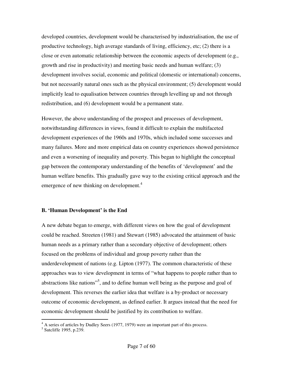developed countries, development would be characterised by industrialisation, the use of productive technology, high average standards of living, efficiency, etc; (2) there is a close or even automatic relationship between the economic aspects of development (e.g., growth and rise in productivity) and meeting basic needs and human welfare; (3) development involves social, economic and political (domestic or international) concerns, but not necessarily natural ones such as the physical environment; (5) development would implicitly lead to equalisation between countries through levelling up and not through redistribution, and (6) development would be a permanent state.

However, the above understanding of the prospect and processes of development, notwithstanding differences in views, found it difficult to explain the multifaceted development experiences of the 1960s and 1970s, which included some successes and many failures. More and more empirical data on country experiences showed persistence and even a worsening of inequality and poverty. This began to highlight the conceptual gap between the contemporary understanding of the benefits of 'development' and the human welfare benefits. This gradually gave way to the existing critical approach and the emergence of new thinking on development.<sup>4</sup>

#### **B. 'Human Development' is the End**

A new debate began to emerge, with different views on how the goal of development could be reached. Streeten (1981) and Stewart (1985) advocated the attainment of basic human needs as a primary rather than a secondary objective of development; others focused on the problems of individual and group poverty rather than the underdevelopment of nations (e.g. Lipton (1977). The common characteristic of these approaches was to view development in terms of "what happens to people rather than to abstractions like nations"<sup>5</sup>, and to define human well being as the purpose and goal of development. This reverses the earlier idea that welfare is a by-product or necessary outcome of economic development, as defined earlier. It argues instead that the need for economic development should be justified by its contribution to welfare.

 4 A series of articles by Dudley Seers (1977, 1979) were an important part of this process.

<sup>5</sup> Sutcliffe 1995, p.239.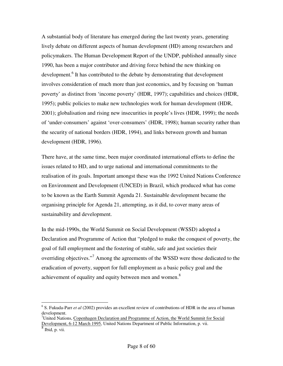A substantial body of literature has emerged during the last twenty years, generating lively debate on different aspects of human development (HD) among researchers and policymakers. The Human Development Report of the UNDP, published annually since 1990, has been a major contributor and driving force behind the new thinking on development.<sup>6</sup> It has contributed to the debate by demonstrating that development involves consideration of much more than just economics, and by focusing on 'human poverty' as distinct from 'income poverty' (HDR, 1997); capabilities and choices (HDR, 1995); public policies to make new technologies work for human development (HDR, 2001); globalisation and rising new insecurities in people's lives (HDR, 1999); the needs of 'under-consumers' against 'over-consumers' (HDR, 1998); human security rather than the security of national borders (HDR, 1994), and links between growth and human development (HDR, 1996).

There have, at the same time, been major coordinated international efforts to define the issues related to HD, and to urge national and international commitments to the realisation of its goals. Important amongst these was the 1992 United Nations Conference on Environment and Development (UNCED) in Brazil, which produced what has come to be known as the Earth Summit Agenda 21. Sustainable development became the organising principle for Agenda 21, attempting, as it did, to cover many areas of sustainability and development.

In the mid-1990s, the World Summit on Social Development (WSSD) adopted a Declaration and Programme of Action that "pledged to make the conquest of poverty, the goal of full employment and the fostering of stable, safe and just societies their overriding objectives."<sup>7</sup> Among the agreements of the WSSD were those dedicated to the eradication of poverty, support for full employment as a basic policy goal and the achievement of equality and equity between men and women.<sup>8</sup>

<sup>&</sup>lt;sup>6</sup> S. Fukuda-Parr *et al* (2002) provides an excellent review of contributions of HDR in the area of human development.

 $7$ United Nations, Copenhagen Declaration and Programme of Action, the World Summit for Social Development, 6-12 March 1995, United Nations Department of Public Information, p. vii.

 $\overline{\begin{array}{c} 8 \end{array}}$  Ibid, p. vii.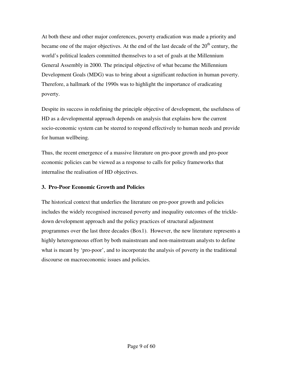At both these and other major conferences, poverty eradication was made a priority and became one of the major objectives. At the end of the last decade of the  $20<sup>th</sup>$  century, the world's political leaders committed themselves to a set of goals at the Millennium General Assembly in 2000. The principal objective of what became the Millennium Development Goals (MDG) was to bring about a significant reduction in human poverty. Therefore, a hallmark of the 1990s was to highlight the importance of eradicating poverty.

Despite its success in redefining the principle objective of development, the usefulness of HD as a developmental approach depends on analysis that explains how the current socio-economic system can be steered to respond effectively to human needs and provide for human wellbeing.

Thus, the recent emergence of a massive literature on pro-poor growth and pro-poor economic policies can be viewed as a response to calls for policy frameworks that internalise the realisation of HD objectives.

#### **3. Pro-Poor Economic Growth and Policies**

The historical context that underlies the literature on pro-poor growth and policies includes the widely recognised increased poverty and inequality outcomes of the trickledown development approach and the policy practices of structural adjustment programmes over the last three decades (Box1). However, the new literature represents a highly heterogeneous effort by both mainstream and non-mainstream analysts to define what is meant by 'pro-poor', and to incorporate the analysis of poverty in the traditional discourse on macroeconomic issues and policies.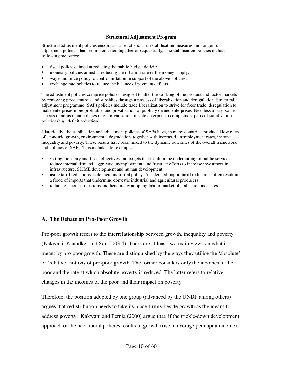#### **Structural Adjustment Program**

Structural adjustment policies encompass a set of short-run stabilisation measures and longer run adjustment policies that are implemented together or sequentially. The stabilisation policies include following measures:

- fiscal policies aimed at reducing the public budget deficit;
- monetary policies aimed at reducing the inflation rate or the money supply;
- wage and price policy to control inflation in support of the above policies;
- exchange rate policies to reduce the balance of payment deficits.

The adjustment policies comprise policies designed to alter the working of the product and factor markets by removing price controls and subsidies through a process of liberalization and deregulation. Structural adjustment programme (SAP) policies include trade liberalization to strive for freer trade; deregulation to make enterprises more profitable, and privatisation of publicly owned enterprises. Needless to say, some aspects of adjustment policies (e.g., privatisation of state enterprises) complement parts of stabilization policies (e.g., deficit reduction).

Historically, the stabilisation and adjustment policies of SAPs have, in many countries, produced low rates of economic growth, environmental degradation, together with increased unemployment rates, income inequality and poverty. These results have been linked to the dynamic outcomes of the overall framework and policies of SAPs. This includes, for example:

- setting monetary and fiscal objectives and targets that result in the undercutting of public services, reduce internal demand, aggravate unemployment, and frustrate efforts to increase investment in infrastructure, SMME development and human development;
- using tariff reductions as de facto industrial policy. Accelerated import tariff reductions often result in a flood of imports that undermine domestic industrial and agricultural producers;
- reducing labour protections and benefits by adopting labour market liberalisation measures.

#### **A. The Debate on Pro-Poor Growth**

Pro-poor growth refers to the interrelationship between growth, inequality and poverty (Kakwani, Khandker and Son 2003:4). There are at least two main views on what is meant by pro-poor growth. These are distinguished by the ways they utilise the 'absolute' or 'relative' notions of pro-poor growth. The former considers only the incomes of the poor and the rate at which absolute poverty is reduced. The latter refers to relative changes in the incomes of the poor and their impact on poverty.

Therefore, the position adopted by one group (advanced by the UNDP among others) argues that redistribution needs to take its place firmly beside growth as the means to address poverty. Kakwani and Pernia (2000) argue that, if the trickle-down development approach of the neo-liberal policies results in growth (rise in average per capita income),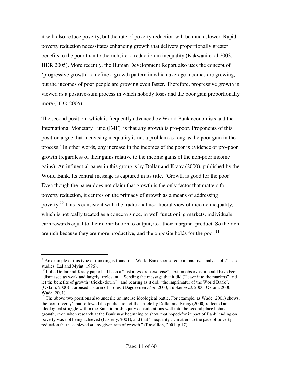it will also reduce poverty, but the rate of poverty reduction will be much slower. Rapid poverty reduction necessitates enhancing growth that delivers proportionally greater benefits to the poor than to the rich, i.e. a reduction in inequality (Kakwani et al 2003, HDR 2005). More recently, the Human Development Report also uses the concept of 'progressive growth' to define a growth pattern in which average incomes are growing, but the incomes of poor people are growing even faster. Therefore, progressive growth is viewed as a positive-sum process in which nobody loses and the poor gain proportionally more (HDR 2005).

The second position, which is frequently advanced by World Bank economists and the International Monetary Fund (IMF), is that any growth is pro-poor. Proponents of this position argue that increasing inequality is not a problem as long as the poor gain in the process.<sup>9</sup> In other words, any increase in the incomes of the poor is evidence of pro-poor growth (regardless of their gains relative to the income gains of the non-poor income gains). An influential paper in this group is by Dollar and Kraay (2000), published by the World Bank. Its central message is captured in its title, "Growth is good for the poor". Even though the paper does not claim that growth is the only factor that matters for poverty reduction, it centres on the primacy of growth as a means of addressing poverty.<sup>10</sup> This is consistent with the traditional neo-liberal view of income inequality, which is not really treated as a concern since, in well functioning markets, individuals earn rewards equal to their contribution to output, i.e., their marginal product. So the rich are rich because they are more productive, and the opposite holds for the poor.<sup>11</sup>

<sup>&</sup>lt;sup>9</sup> An example of this type of thinking is found in a World Bank sponsored comparative analysis of 21 case studies (Lal and Myint, 1996).

<sup>&</sup>lt;sup>10</sup> If the Dollar and Kraay paper had been a "just a research exercise", Oxfam observes, it could have been "dismissed as weak and largely irrelevant." Sending the message that it did ("leave it to the markets" and let the benefits of growth "trickle-down"), and bearing as it did, "the imprimatur of the World Bank", (Oxfam, 2000) it aroused a storm of protest (Dagdeviren *et al*, 2000; Lübker *et al*, 2000; Oxfam, 2000; Wade, 2001).

 $11$  The above two positions also underlie an intense ideological battle. For example, as Wade (2001) shows, the 'controversy' that followed the publication of the article by Dollar and Kraay (2000) reflected an ideological struggle within the Bank to push equity considerations well into the second place behind growth, even when research at the Bank was beginning to show that hoped-for impact of Bank lending on poverty was not being achieved (Easterly, 2001), and that "inequality … matters to the pace of poverty reduction that is achieved at any given rate of growth." (Ravallion, 2001, p.17).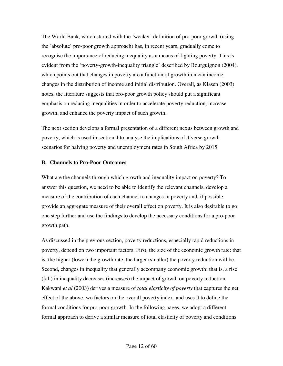The World Bank, which started with the 'weaker' definition of pro-poor growth (using the 'absolute' pro-poor growth approach) has, in recent years, gradually come to recognise the importance of reducing inequality as a means of fighting poverty. This is evident from the 'poverty-growth-inequality triangle' described by Bourguignon (2004), which points out that changes in poverty are a function of growth in mean income, changes in the distribution of income and initial distribution. Overall, as Klasen (2003) notes, the literature suggests that pro-poor growth policy should put a significant emphasis on reducing inequalities in order to accelerate poverty reduction, increase growth, and enhance the poverty impact of such growth.

The next section develops a formal presentation of a different nexus between growth and poverty, which is used in section 4 to analyse the implications of diverse growth scenarios for halving poverty and unemployment rates in South Africa by 2015.

#### **B. Channels to Pro-Poor Outcomes**

What are the channels through which growth and inequality impact on poverty? To answer this question, we need to be able to identify the relevant channels, develop a measure of the contribution of each channel to changes in poverty and, if possible, provide an aggregate measure of their overall effect on poverty. It is also desirable to go one step further and use the findings to develop the necessary conditions for a pro-poor growth path.

As discussed in the previous section, poverty reductions, especially rapid reductions in poverty, depend on two important factors. First, the size of the economic growth rate: that is, the higher (lower) the growth rate, the larger (smaller) the poverty reduction will be. Second, changes in inequality that generally accompany economic growth: that is, a rise (fall) in inequality decreases (increases) the impact of growth on poverty reduction. Kakwani *et al* (2003) derives a measure of *total elasticity of poverty* that captures the net effect of the above two factors on the overall poverty index, and uses it to define the formal conditions for pro-poor growth. In the following pages, we adopt a different formal approach to derive a similar measure of total elasticity of poverty and conditions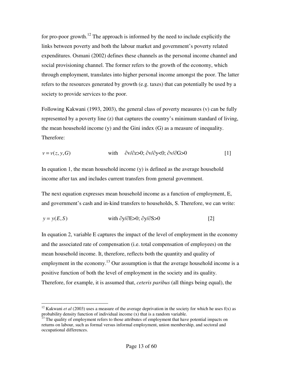for pro-poor growth.<sup>12</sup> The approach is informed by the need to include explicitly the links between poverty and both the labour market and government's poverty related expenditures. Osmani (2002) defines these channels as the personal income channel and social provisioning channel. The former refers to the growth of the economy, which through employment, translates into higher personal income amongst the poor. The latter refers to the resources generated by growth (e.g. taxes) that can potentially be used by a society to provide services to the poor.

Following Kakwani (1993, 2003), the general class of poverty measures (v) can be fully represented by a poverty line (z) that captures the country's minimum standard of living, the mean household income (y) and the Gini index (G) as a measure of inequality. Therefore:

$$
v = v(z, y, G)
$$
 with  $\partial v/\partial z > 0$ ;  $\partial v/\partial y < 0$ ;  $\partial v/\partial G > 0$  [1]

In equation 1, the mean household income (y) is defined as the average household income after tax and includes current transfers from general government.

The next equation expresses mean household income as a function of employment, E, and government's cash and in-kind transfers to households, S. Therefore, we can write:

$$
y = y(E, S) \qquad \text{with } \partial y/\partial E > 0; \ \partial y/\partial S > 0 \tag{2}
$$

In equation 2, variable E captures the impact of the level of employment in the economy and the associated rate of compensation (i.e. total compensation of employees) on the mean household income. It, therefore, reflects both the quantity and quality of employment in the economy.<sup>13</sup> Our assumption is that the average household income is a positive function of both the level of employment in the society and its quality. Therefore, for example, it is assumed that, *ceteris paribus* (all things being equal), the

 $\overline{a}$ <sup>12</sup> Kakwani *et al* (2003) uses a measure of the average deprivation in the society for which he uses  $f(x)$  as probability density function of individual income (x) that is a random variable.

<sup>&</sup>lt;sup>13</sup> The quality of employment refers to those attributes of employment that have potential impacts on returns on labour, such as formal versus informal employment, union membership, and sectoral and occupational differences.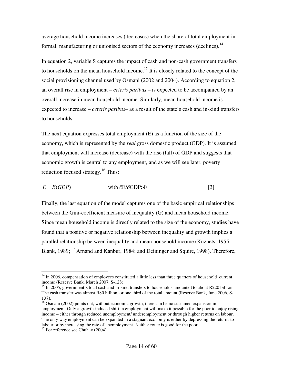average household income increases (decreases) when the share of total employment in formal, manufacturing or unionised sectors of the economy increases (declines).<sup>14</sup>

In equation 2, variable S captures the impact of cash and non-cash government transfers to households on the mean household income.<sup>15</sup> It is closely related to the concept of the social provisioning channel used by Osmani (2002 and 2004). According to equation 2, an overall rise in employment – *ceteris paribus* – is expected to be accompanied by an overall increase in mean household income. Similarly, mean household income is expected to increase – *ceteris paribus–* as a result of the state's cash and in-kind transfers to households.

The next equation expresses total employment (E) as a function of the size of the economy, which is represented by the *real* gross domestic product (GDP). It is assumed that employment will increase (decrease) with the rise (fall) of GDP and suggests that economic growth is central to any employment, and as we will see later, poverty reduction focused strategy.<sup>16</sup> Thus:

 $E = E(GDP)$  with  $\partial E/\partial GDP > 0$  [3]

Finally, the last equation of the model captures one of the basic empirical relationships between the Gini-coefficient measure of inequality (G) and mean household income. Since mean household income is directly related to the size of the economy, studies have found that a positive or negative relationship between inequality and growth implies a parallel relationship between inequality and mean household income (Kuznets, 1955; Blank, 1989;<sup>17</sup> Arnand and Kanbur, 1984; and Deininger and Squire, 1998). Therefore,

 $14$  In 2006, compensation of employees constituted a little less than three quarters of household current income (Reserve Bank, March 2007, S-128).

 $15$  In 2005, government's total cash and in-kind transfers to households amounted to about R220 billion. The cash transfer was almost R80 billion, or one third of the total amount (Reserve Bank, June 2006, S-137).

<sup>&</sup>lt;sup>16</sup> Osmani (2002) points out, without economic growth, there can be no sustained expansion in employment. Only a growth-induced shift in employment will make it possible for the poor to enjoy rising income – either through reduced unemployment/ underemployment or through higher returns on labour. The only way employment can be expanded in a stagnant economy is either by depressing the returns to labour or by increasing the rate of unemployment. Neither route is good for the poor.

 $17$  For reference see Chuhay (2004).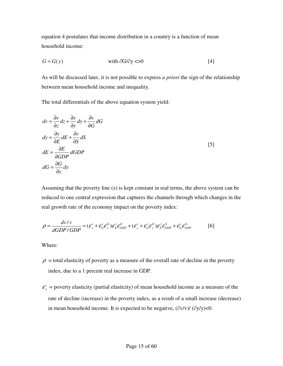equation 4 postulates that income distribution in a country is a function of mean household income:

$$
G = G(y) \qquad \text{with } \partial G / \partial y \ll 0 \tag{4}
$$

As will be discussed later, it is not possible to express *a priori* the sign of the relationship between mean household income and inequality.

The total differentials of the above equation system yield:

$$
dv = \frac{\partial v}{\partial z} dz + \frac{\partial v}{\partial y} dy + \frac{\partial v}{\partial G} dG
$$
  
\n
$$
dy = \frac{\partial y}{\partial E} dE + \frac{\partial v}{\partial S} dS
$$
  
\n
$$
dE = \frac{\partial E}{\partial GDP} dGDP
$$
  
\n
$$
dG = \frac{\partial G}{\partial y} dy
$$

Assuming that the poverty line (z) is kept constant in real terms, the above system can be reduced to one central expression that captures the channels through which changes in the real growth rate of the economy impact on the poverty index:

$$
\rho = \frac{dv/v}{dGDP/GDP} = (\varepsilon_y^v + \varepsilon_c^v \varepsilon_y^G) \varepsilon_z^v \varepsilon_{GDP}^E + (\varepsilon_y^v + \varepsilon_c^v \varepsilon_y^G) \varepsilon_z^v \varepsilon_{GDP}^S + \varepsilon_c^v \varepsilon_{GDP}^G
$$
 [6]

Where:

- $\rho$  = total elasticity of poverty as a measure of the overall rate of decline in the poverty index, due to a 1 percent real increase in GDP.
- *v*  $\varepsilon_y^v$  = poverty elasticity (partial elasticity) of mean household income as a measure of the rate of decline (increase) in the poverty index, as a result of a small increase (decrease) in mean household income. It is expected to be negative,  $(\partial v/v) / (\partial y/v) < 0$ .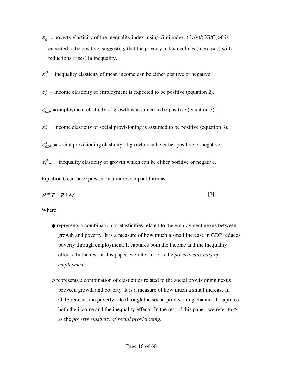- *v*  $\varepsilon_G^v$  = poverty elasticity of the inequality index, using Gini index. ( $\partial v/v$ )/( $\partial G/G$ )>0 is expected to be positive, suggesting that the poverty index declines (increases) with reductions (rises) in inequality.
- *G*  $\varepsilon$ <sup>*G*</sup> = inequality elasticity of mean income can be either positive or negative.
- *y*  $\varepsilon_E^y$  = income elasticity of employment is expected to be positive (equation 2).
- $\varepsilon_{GDP}^E$  = employment elasticity of growth is assumed to be positive (equation 3).
- *y*  $\varepsilon_s^y$  = income elasticity of social provisioning is assumed to be positive (equation 3).
- $\varepsilon_{GDP}^S$  = social provisioning elasticity of growth can be either positive or negative.

 $\varepsilon_{GDP}^G$  = inequality elasticity of growth which can be either positive or negative.

Equation 6 can be expressed in a more compact form as:

$$
\rho = \psi + \varphi + \kappa \gamma \tag{7}
$$

Where:

- ψ represents a combination of elasticities related to the employment nexus between growth and poverty. It is a measure of how much a small increase in GDP reduces poverty through employment. It captures both the income and the inequality effects. In the rest of this paper, we refer to ψ as the *poverty elasticity of employment.*
- ϕ represents a combination of elasticities related to the social provisioning nexus between growth and poverty. It is a measure of how much a small increase in GDP reduces the poverty rate through the social provisioning channel. It captures both the income and the inequality effects. In the rest of this paper, we refer to  $\varphi$ as the *poverty elasticity of social provisioning.*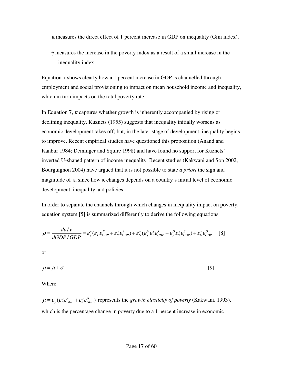κ measures the direct effect of 1 percent increase in GDP on inequality (Gini index).

γ measures the increase in the poverty index as a result of a small increase in the inequality index.

Equation 7 shows clearly how a 1 percent increase in GDP is channelled through employment and social provisioning to impact on mean household income and inequality, which in turn impacts on the total poverty rate.

In Equation 7, κ captures whether growth is inherently accompanied by rising or declining inequality. Kuznets (1955) suggests that inequality initially worsens as economic development takes off; but, in the later stage of development, inequality begins to improve. Recent empirical studies have questioned this proposition (Anand and Kanbur 1984; Deininger and Squire 1998) and have found no support for Kuznets' inverted U-shaped pattern of income inequality. Recent studies (Kakwani and Son 2002, Bourguignon 2004) have argued that it is not possible to state *a priori* the sign and magnitude of κ, since how κ changes depends on a country's initial level of economic development, inequality and policies.

In order to separate the channels through which changes in inequality impact on poverty, equation system [5] is summarized differently to derive the following equations:

$$
\rho = \frac{d\nu/v}{dGDP/GDP} = \varepsilon_y^v(\varepsilon_z^v \varepsilon_{GDP}^E + \varepsilon_y^v \varepsilon_{GDP}^S) + \varepsilon_G^v(\varepsilon_y^G \varepsilon_z^v \varepsilon_{GDP}^E + \varepsilon_y^G \varepsilon_y^v \varepsilon_{GDP}^S) + \varepsilon_G^v \varepsilon_{GDP}^G \tag{8}
$$

or

$$
\rho = \mu + \sigma \tag{9}
$$

Where:

 $\mu = \mathcal{E}_{\rm v}^{\rm v}(\mathcal{E}_{\rm E}^{\rm v}\mathcal{E}_{\rm GDP}^{\rm E} + \mathcal{E}_{\rm S}^{\rm v}\mathcal{E}_{\rm GDP}^{\rm S})$  represents the *growth elasticity of poverty* (Kakwani, 1993), which is the percentage change in poverty due to a 1 percent increase in economic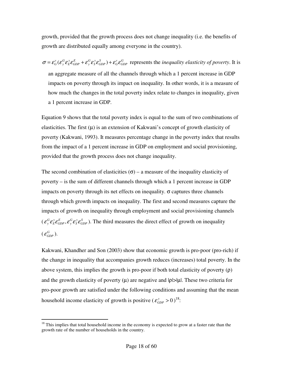growth, provided that the growth process does not change inequality (i.e. the benefits of growth are distributed equally among everyone in the country).

 $\sigma = \varepsilon_G^v (\varepsilon_g^G \varepsilon_g^y \varepsilon_{GDP}^E + \varepsilon_g^G \varepsilon_g^y \varepsilon_{GDP}^S) + \varepsilon_G^v \varepsilon_{GDP}^G$  represents the *inequality elasticity of poverty*. It is an aggregate measure of all the channels through which a 1 percent increase in GDP impacts on poverty through its impact on inequality. In other words, it is a measure of how much the changes in the total poverty index relate to changes in inequality, given a 1 percent increase in GDP.

Equation 9 shows that the total poverty index is equal to the sum of two combinations of elasticities. The first  $(\mu)$  is an extension of Kakwani's concept of growth elasticity of poverty (Kakwani, 1993). It measures percentage change in the poverty index that results from the impact of a 1 percent increase in GDP on employment and social provisioning, provided that the growth process does not change inequality.

The second combination of elasticities ( $\sigma$ ) – a measure of the inequality elasticity of poverty – is the sum of different channels through which a 1 percent increase in GDP impacts on poverty through its net effects on inequality.  $\sigma$  captures three channels through which growth impacts on inequality. The first and second measures capture the impacts of growth on inequality through employment and social provisioning channels  $(c_j^G \varepsilon_j^y \varepsilon_k^g \varepsilon_{GP}^g, \varepsilon_j^g \varepsilon_{GP}^g)$ . The third measures the direct effect of growth on inequality  $(\,\mathcal{E}^G_{GDP}) .$ 

Kakwani, Khandher and Son (2003) show that economic growth is pro-poor (pro-rich) if the change in inequality that accompanies growth reduces (increases) total poverty. In the above system, this implies the growth is pro-poor if both total elasticity of poverty  $(\rho)$ and the growth elasticity of poverty  $(\mu)$  are negative and  $|\rho| > |\mu|$ . These two criteria for pro-poor growth are satisfied under the following conditions and assuming that the mean household income elasticity of growth is positive  $({\varepsilon}_{GDP}^y > 0)^{18}$ .

 $18$  This implies that total household income in the economy is expected to grow at a faster rate than the growth rate of the number of households in the country.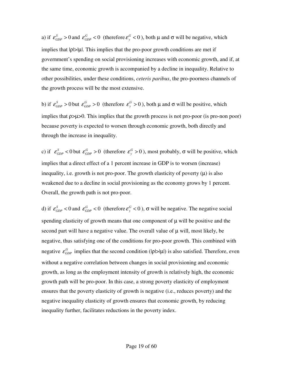a) if  $\varepsilon_{GDP}^S > 0$  and  $\varepsilon_{GDP}^G < 0$  (therefore  $\varepsilon_{y}^G < 0$  $\varepsilon_{y}^{G}$  < 0), both  $\mu$  and  $\sigma$  will be negative, which implies that  $|\rho| > |\mu|$ . This implies that the pro-poor growth conditions are met if government's spending on social provisioning increases with economic growth, and if, at the same time, economic growth is accompanied by a decline in inequality. Relative to other possibilities, under these conditions, *ceteris paribus*, the pro-poorness channels of the growth process will be the most extensive.

b) if  $\varepsilon_{GDP}^S > 0$  but  $\varepsilon_{GDP}^G > 0$  (therefore  $\varepsilon_{y}^G > 0$  $\varepsilon_{y}^{G} > 0$ ), both  $\mu$  and  $\sigma$  will be positive, which implies that ρ>µ>0. This implies that the growth process is not pro-poor (is pro-non poor) because poverty is expected to worsen through economic growth, both directly and through the increase in inequality.

c) if  $\varepsilon_{GDP}^S < 0$  but  $\varepsilon_{GDP}^G > 0$  (therefore  $\varepsilon_{y}^G > 0$  $\varepsilon_{y}^{G}$  > 0), most probably,  $\sigma$  will be positive, which implies that a direct effect of a 1 percent increase in GDP is to worsen (increase) inequality, i.e. growth is not pro-poor. The growth elasticity of poverty  $(\mu)$  is also weakened due to a decline in social provisioning as the economy grows by 1 percent. Overall, the growth path is not pro-poor.

d) if  $\varepsilon_{GDP}^S < 0$  and  $\varepsilon_{GDP}^G < 0$  (therefore  $\varepsilon_{y}^G < 0$  $\varepsilon_{y}^{G}$  < 0),  $\sigma$  will be negative. The negative social spending elasticity of growth means that one component of  $\mu$  will be positive and the second part will have a negative value. The overall value of  $\mu$  will, most likely, be negative, thus satisfying one of the conditions for pro-poor growth. This combined with negative  $\varepsilon_{GDP}^G$  implies that the second condition ( $|\rho| > |\mu|$ ) is also satisfied. Therefore, even without a negative correlation between changes in social provisioning and economic growth, as long as the employment intensity of growth is relatively high, the economic growth path will be pro-poor. In this case, a strong poverty elasticity of employment ensures that the poverty elasticity of growth is negative (i.e., reduces poverty) and the negative inequality elasticity of growth ensures that economic growth, by reducing inequality further, facilitates reductions in the poverty index.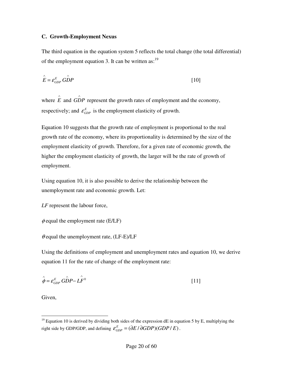#### **C. Growth-Employment Nexus**

The third equation in the equation system 5 reflects the total change (the total differential) of the employment equation 3. It can be written as:  $19$ 

$$
\hat{E} = \varepsilon_{GDP}^E \stackrel{\frown}{GDP} \tag{10}
$$

where  $\hat{E}$  and  $G\hat{D}P$  represent the growth rates of employment and the economy, respectively; and  $\varepsilon_{GDP}^E$  is the employment elasticity of growth.

Equation 10 suggests that the growth rate of employment is proportional to the real growth rate of the economy, where its proportionality is determined by the size of the employment elasticity of growth. Therefore, for a given rate of economic growth, the higher the employment elasticity of growth, the larger will be the rate of growth of employment.

Using equation 10, it is also possible to derive the relationship between the unemployment rate and economic growth. Let:

```
LF represent the labour force,
```

```
\phi equal the employment rate (E/LF)
```
 $\theta$  equal the unemployment rate, (LF-E)/LF

Using the definitions of employment and unemployment rates and equation 10, we derive equation 11 for the rate of change of the employment rate:

$$
\hat{\phi} = \varepsilon_{GDP}^E G \hat{D} P - \hat{L} \hat{F}^0
$$

Given,

 $\overline{a}$ <sup>19</sup> Equation 10 is derived by dividing both sides of the expression dE in equation 5 by E, multiplying the right side by GDP/GDP, and defining  $\mathcal{E}_{GDP}^E = (\partial E / \partial GDP)(GDP / E)$ .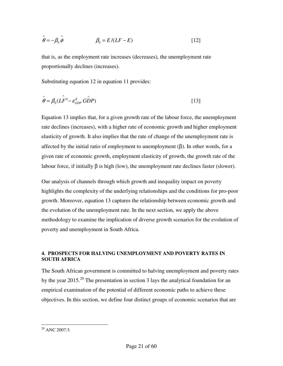$$
\hat{\theta} = -\beta_0 \hat{\phi} \qquad \beta_0 = E/(LF - E) \qquad [12]
$$

that is, as the employment rate increases (decreases), the unemployment rate proportionally declines (increases).

Substituting equation 12 in equation 11 provides:

$$
\hat{\theta} = \beta_0 (L\hat{F}^0 - \varepsilon_{GDP}^E \hat{GDP})
$$
\n[13]

Equation 13 implies that, for a given growth rate of the labour force, the unemployment rate declines (increases), with a higher rate of economic growth and higher employment elasticity of growth. It also implies that the rate of change of the unemployment rate is affected by the initial ratio of employment to unemployment  $(β)$ . In other words, for a given rate of economic growth, employment elasticity of growth, the growth rate of the labour force, if initially β is high (low), the unemployment rate declines faster (slower).

Our analysis of channels through which growth and inequality impact on poverty highlights the complexity of the underlying relationships and the conditions for pro-poor growth. Moreover, equation 13 captures the relationship between economic growth and the evolution of the unemployment rate. In the next section, we apply the above methodology to examine the implication of diverse growth scenarios for the evolution of poverty and unemployment in South Africa.

#### **4. PROSPECTS FOR HALVING UNEMPLOYMENT AND POVERTY RATES IN SOUTH AFRICA**

The South African government is committed to halving unemployment and poverty rates by the year 2015.<sup>20</sup> The presentation in section 3 lays the analytical foundation for an empirical examination of the potential of different economic paths to achieve these objectives. In this section, we define four distinct groups of economic scenarios that are

 $20$  ANC 2007:3.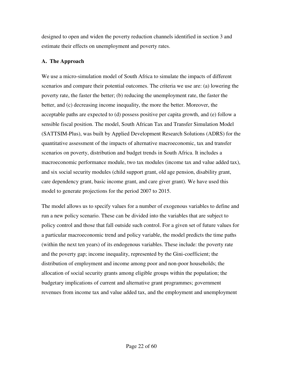designed to open and widen the poverty reduction channels identified in section 3 and estimate their effects on unemployment and poverty rates.

#### **A. The Approach**

We use a micro-simulation model of South Africa to simulate the impacts of different scenarios and compare their potential outcomes. The criteria we use are: (a) lowering the poverty rate, the faster the better; (b) reducing the unemployment rate, the faster the better, and (c) decreasing income inequality, the more the better. Moreover, the acceptable paths are expected to (d) possess positive per capita growth, and (e) follow a sensible fiscal position. The model, South African Tax and Transfer Simulation Model (SATTSIM-Plus), was built by Applied Development Research Solutions (ADRS) for the quantitative assessment of the impacts of alternative macroeconomic, tax and transfer scenarios on poverty, distribution and budget trends in South Africa. It includes a macroeconomic performance module, two tax modules (income tax and value added tax), and six social security modules (child support grant, old age pension, disability grant, care dependency grant, basic income grant, and care giver grant). We have used this model to generate projections for the period 2007 to 2015.

The model allows us to specify values for a number of exogenous variables to define and run a new policy scenario. These can be divided into the variables that are subject to policy control and those that fall outside such control. For a given set of future values for a particular macroeconomic trend and policy variable, the model predicts the time paths (within the next ten years) of its endogenous variables. These include: the poverty rate and the poverty gap; income inequality, represented by the Gini-coefficient; the distribution of employment and income among poor and non-poor households; the allocation of social security grants among eligible groups within the population; the budgetary implications of current and alternative grant programmes; government revenues from income tax and value added tax, and the employment and unemployment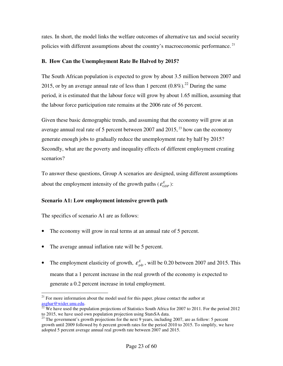rates. In short, the model links the welfare outcomes of alternative tax and social security policies with different assumptions about the country's macroeconomic performance.<sup>21</sup>

#### **B. How Can the Unemployment Rate Be Halved by 2015?**

The South African population is expected to grow by about 3.5 million between 2007 and 2015, or by an average annual rate of less than 1 percent  $(0.8\%)$ <sup>22</sup> During the same period, it is estimated that the labour force will grow by about 1.65 million, assuming that the labour force participation rate remains at the 2006 rate of 56 percent.

Given these basic demographic trends, and assuming that the economy will grow at an average annual real rate of 5 percent between 2007 and 2015,  $^{23}$  how can the economy generate enough jobs to gradually reduce the unemployment rate by half by 2015? Secondly, what are the poverty and inequality effects of different employment creating scenarios?

To answer these questions, Group A scenarios are designed, using different assumptions about the employment intensity of the growth paths  $(\varepsilon_{GDP}^E)$ :

#### **Scenario A1: Low employment intensive growth path**

The specifics of scenario A1 are as follows:

- The economy will grow in real terms at an annual rate of 5 percent.
- The average annual inflation rate will be 5 percent.
- The employment elasticity of growth,  $\epsilon_{\text{gdp}}^E$ , will be 0.20 between 2007 and 2015. This means that a 1 percent increase in the real growth of the economy is expected to generate a 0.2 percent increase in total employment.

 $\overline{a}$  $21$  For more information about the model used for this paper, please contact the author at asghar@wider.unu.edu.

 $22$  We have used the population projections of Statistics South Africa for 2007 to 2011. For the period 2012 to 2015, we have used own population projection using StatsSA data.

 $^{23}$  The government's growth projections for the next 9 years, including 2007, are as follow: 5 percent growth until 2009 followed by 6 percent growth rates for the period 2010 to 2015. To simplify, we have adopted 5 percent average annual real growth rate between 2007 and 2015.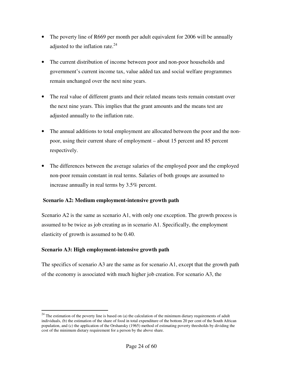- The poverty line of R669 per month per adult equivalent for 2006 will be annually adjusted to the inflation rate. $24$
- The current distribution of income between poor and non-poor households and government's current income tax, value added tax and social welfare programmes remain unchanged over the next nine years.
- The real value of different grants and their related means tests remain constant over the next nine years. This implies that the grant amounts and the means test are adjusted annually to the inflation rate.
- The annual additions to total employment are allocated between the poor and the nonpoor, using their current share of employment – about 15 percent and 85 percent respectively.
- The differences between the average salaries of the employed poor and the employed non-poor remain constant in real terms. Salaries of both groups are assumed to increase annually in real terms by 3.5% percent.

#### **Scenario A2: Medium employment-intensive growth path**

Scenario A2 is the same as scenario A1, with only one exception. The growth process is assumed to be twice as job creating as in scenario A1. Specifically, the employment elasticity of growth is assumed to be 0.40.

# **Scenario A3: High employment-intensive growth path**

 $\overline{a}$ 

The specifics of scenario A3 are the same as for scenario A1, except that the growth path of the economy is associated with much higher job creation. For scenario A3, the

 $24$  The estimation of the poverty line is based on (a) the calculation of the minimum dietary requirements of adult individuals, (b) the estimation of the share of food in total expenditure of the bottom 20 per cent of the South African population, and (c) the application of the Orshansky (1965) method of estimating poverty thresholds by dividing the cost of the minimum dietary requirement for a person by the above share.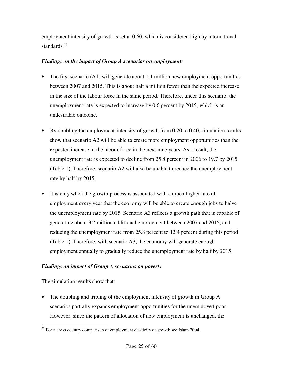employment intensity of growth is set at 0.60, which is considered high by international standards.<sup>25</sup>

## *Findings on the impact of Group A scenarios on employment:*

- The first scenario (A1) will generate about 1.1 million new employment opportunities between 2007 and 2015. This is about half a million fewer than the expected increase in the size of the labour force in the same period. Therefore, under this scenario, the unemployment rate is expected to increase by 0.6 percent by 2015, which is an undesirable outcome.
- By doubling the employment-intensity of growth from 0.20 to 0.40, simulation results show that scenario A2 will be able to create more employment opportunities than the expected increase in the labour force in the next nine years. As a result, the unemployment rate is expected to decline from 25.8 percent in 2006 to 19.7 by 2015 (Table 1). Therefore, scenario A2 will also be unable to reduce the unemployment rate by half by 2015.
- It is only when the growth process is associated with a much higher rate of employment every year that the economy will be able to create enough jobs to halve the unemployment rate by 2015. Scenario A3 reflects a growth path that is capable of generating about 3.7 million additional employment between 2007 and 2015, and reducing the unemployment rate from 25.8 percent to 12.4 percent during this period (Table 1). Therefore, with scenario A3, the economy will generate enough employment annually to gradually reduce the unemployment rate by half by 2015.

# *Findings on impact of Group A scenarios on poverty*

The simulation results show that:

The doubling and tripling of the employment intensity of growth in Group A scenarios partially expands employment opportunities for the unemployed poor. However, since the pattern of allocation of new employment is unchanged, the

 $\overline{a}$  $25$  For a cross country comparison of employment elasticity of growth see Islam 2004.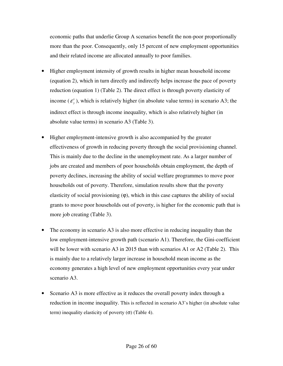economic paths that underlie Group A scenarios benefit the non-poor proportionally more than the poor. Consequently, only 15 percent of new employment opportunities and their related income are allocated annually to poor families.

- Higher employment intensity of growth results in higher mean household income (equation 2), which in turn directly and indirectly helps increase the pace of poverty reduction (equation 1) (Table 2). The direct effect is through poverty elasticity of income  $(\varepsilon_y^{\nu})$ , which is relatively higher (in absolute value terms) in scenario A3; the indirect effect is through income inequality, which is also relatively higher (in absolute value terms) in scenario A3 (Table 3).
- Higher employment-intensive growth is also accompanied by the greater effectiveness of growth in reducing poverty through the social provisioning channel. This is mainly due to the decline in the unemployment rate. As a larger number of jobs are created and members of poor households obtain employment, the depth of poverty declines, increasing the ability of social welfare programmes to move poor households out of poverty. Therefore, simulation results show that the poverty elasticity of social provisioning  $(\varphi)$ , which in this case captures the ability of social grants to move poor households out of poverty, is higher for the economic path that is more job creating (Table 3).
- The economy in scenario A3 is also more effective in reducing inequality than the low employment-intensive growth path (scenario A1). Therefore, the Gini-coefficient will be lower with scenario A3 in 2015 than with scenarios A1 or A2 (Table 2). This is mainly due to a relatively larger increase in household mean income as the economy generates a high level of new employment opportunities every year under scenario A3.
- Scenario A3 is more effective as it reduces the overall poverty index through a reduction in income inequality. This is reflected in scenario A3's higher (in absolute value term) inequality elasticity of poverty  $(\sigma)$  (Table 4).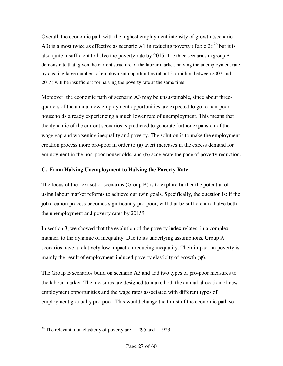Overall, the economic path with the highest employment intensity of growth (scenario A3) is almost twice as effective as scenario A1 in reducing poverty (Table 2);<sup>26</sup> but it is also quite insufficient to halve the poverty rate by 2015. The three scenarios in group A demonstrate that, given the current structure of the labour market, halving the unemployment rate by creating large numbers of employment opportunities (about 3.7 million between 2007 and 2015) will be insufficient for halving the poverty rate at the same time.

Moreover, the economic path of scenario A3 may be unsustainable, since about threequarters of the annual new employment opportunities are expected to go to non-poor households already experiencing a much lower rate of unemployment. This means that the dynamic of the current scenarios is predicted to generate further expansion of the wage gap and worsening inequality and poverty. The solution is to make the employment creation process more pro-poor in order to (a) avert increases in the excess demand for employment in the non-poor households, and (b) accelerate the pace of poverty reduction.

#### **C. From Halving Unemployment to Halving the Poverty Rate**

The focus of the next set of scenarios (Group B) is to explore further the potential of using labour market reforms to achieve our twin goals. Specifically, the question is: if the job creation process becomes significantly pro-poor, will that be sufficient to halve both the unemployment and poverty rates by 2015?

In section 3, we showed that the evolution of the poverty index relates, in a complex manner, to the dynamic of inequality. Due to its underlying assumptions, Group A scenarios have a relatively low impact on reducing inequality. Their impact on poverty is mainly the result of employment-induced poverty elasticity of growth (ψ).

The Group B scenarios build on scenario A3 and add two types of pro-poor measures to the labour market. The measures are designed to make both the annual allocation of new employment opportunities and the wage rates associated with different types of employment gradually pro-poor. This would change the thrust of the economic path so

 $\overline{a}$ <sup>26</sup> The relevant total elasticity of poverty are  $-1.095$  and  $-1.923$ .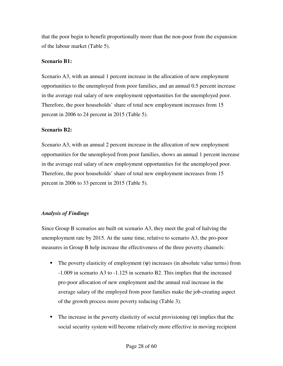that the poor begin to benefit proportionally more than the non-poor from the expansion of the labour market (Table 5).

#### **Scenario B1:**

Scenario A3, with an annual 1 percent increase in the allocation of new employment opportunities to the unemployed from poor families, and an annual 0.5 percent increase in the average real salary of new employment opportunities for the unemployed poor. Therefore, the poor households' share of total new employment increases from 15 percent in 2006 to 24 percent in 2015 (Table 5).

#### **Scenario B2:**

Scenario A3, with an annual 2 percent increase in the allocation of new employment opportunities for the unemployed from poor families, shows an annual 1 percent increase in the average real salary of new employment opportunities for the unemployed poor. Therefore, the poor households' share of total new employment increases from 15 percent in 2006 to 33 percent in 2015 (Table 5).

#### *Analysis of Findings*

Since Group B scenarios are built on scenario A3, they meet the goal of halving the unemployment rate by 2015. At the same time, relative to scenario A3, the pro-poor measures in Group B help increase the effectiveness of the three poverty channels:

- The poverty elasticity of employment  $(\psi)$  increases (in absolute value terms) from -1.009 in scenario A3 to -1.125 in scenario B2. This implies that the increased pro-poor allocation of new employment and the annual real increase in the average salary of the employed from poor families make the job-creating aspect of the growth process more poverty reducing (Table 3).
- The increase in the poverty elasticity of social provisioning  $(\varphi)$  implies that the social security system will become relatively more effective in moving recipient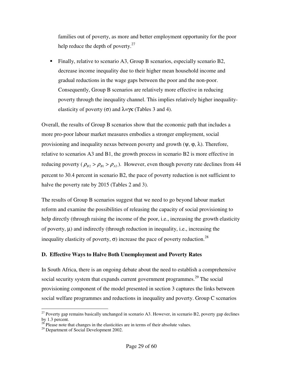families out of poverty, as more and better employment opportunity for the poor help reduce the depth of poverty. $27$ 

Finally, relative to scenario A3, Group B scenarios, especially scenario B2, decrease income inequality due to their higher mean household income and gradual reductions in the wage gaps between the poor and the non-poor. Consequently, Group B scenarios are relatively more effective in reducing poverty through the inequality channel. This implies relatively higher inequalityelasticity of poverty ( $\sigma$ ) and  $\lambda = \gamma \kappa$  (Tables 3 and 4).

Overall, the results of Group B scenarios show that the economic path that includes a more pro-poor labour market measures embodies a stronger employment, social provisioning and inequality nexus between poverty and growth  $(\psi, \varphi, \lambda)$ . Therefore, relative to scenarios A3 and B1, the growth process in scenario B2 is more effective in reducing poverty ( $\rho_{B2} > \rho_{B1} > \rho_{A3}$ ). However, even though poverty rate declines from 44 percent to 30.4 percent in scenario B2, the pace of poverty reduction is not sufficient to halve the poverty rate by 2015 (Tables 2 and 3).

The results of Group B scenarios suggest that we need to go beyond labour market reform and examine the possibilities of releasing the capacity of social provisioning to help directly (through raising the income of the poor, i.e., increasing the growth elasticity of poverty,  $\mu$ ) and indirectly (through reduction in inequality, i.e., increasing the inequality elasticity of poverty,  $\sigma$ ) increase the pace of poverty reduction.<sup>28</sup>

#### **D. Effective Ways to Halve Both Unemployment and Poverty Rates**

In South Africa, there is an ongoing debate about the need to establish a comprehensive social security system that expands current government programmes.<sup>29</sup> The social provisioning component of the model presented in section 3 captures the links between social welfare programmes and reductions in inequality and poverty. Group C scenarios

 $^{27}$  Poverty gap remains basically unchanged in scenario A3. However, in scenario B2, poverty gap declines by 1.3 percent.

 $2<sup>8</sup>$  Please note that changes in the elasticities are in terms of their absolute values.

<sup>&</sup>lt;sup>29</sup> Department of Social Development 2002.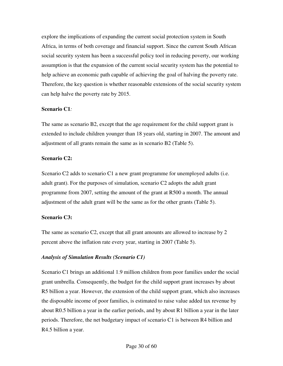explore the implications of expanding the current social protection system in South Africa, in terms of both coverage and financial support. Since the current South African social security system has been a successful policy tool in reducing poverty, our working assumption is that the expansion of the current social security system has the potential to help achieve an economic path capable of achieving the goal of halving the poverty rate. Therefore, the key question is whether reasonable extensions of the social security system can help halve the poverty rate by 2015.

#### **Scenario C1***:*

The same as scenario B2, except that the age requirement for the child support grant is extended to include children younger than 18 years old, starting in 2007. The amount and adjustment of all grants remain the same as in scenario B2 (Table 5).

#### **Scenario C2:**

Scenario C2 adds to scenario C1 a new grant programme for unemployed adults (i.e. adult grant). For the purposes of simulation, scenario C2 adopts the adult grant programme from 2007, setting the amount of the grant at R500 a month. The annual adjustment of the adult grant will be the same as for the other grants (Table 5).

#### **Scenario C3:**

The same as scenario C2, except that all grant amounts are allowed to increase by 2 percent above the inflation rate every year, starting in 2007 (Table 5).

#### *Analysis of Simulation Results (Scenario C1)*

Scenario C1 brings an additional 1.9 million children from poor families under the social grant umbrella. Consequently, the budget for the child support grant increases by about R5 billion a year. However, the extension of the child support grant, which also increases the disposable income of poor families, is estimated to raise value added tax revenue by about R0.5 billion a year in the earlier periods, and by about R1 billion a year in the later periods. Therefore, the net budgetary impact of scenario C1 is between R4 billion and R4.5 billion a year.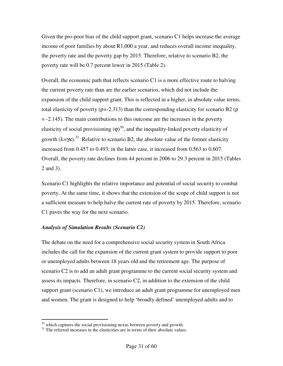Given the pro-poor bias of the child support grant, scenario C1 helps increase the average income of poor families by about R1,000 a year, and reduces overall income inequality, the poverty rate and the poverty gap by 2015. Therefore, relative to scenario B2, the poverty rate will be 0.7 percent lower in 2015 (Table 2).

Overall, the economic path that reflects scenario C1 is a more effective route to halving the current poverty rate than are the earlier scenarios, which did not include the expansion of the child support grant. This is reflected in a higher, in absolute value terms, total elasticity of poverty ( $\rho = -2.313$ ) than the corresponding elasticity for scenario B2 ( $\rho$ ) = -2.145). The main contributions to this outcome are the increases in the poverty elasticity of social provisioning  $(\varphi)^{30}$ , and the inequality-linked poverty elasticity of growth  $(\lambda = \gamma \kappa)^{31}$  Relative to scenario B2, the absolute value of the former elasticity increased from 0.457 to 0.493; in the latter case, it increased from 0.563 to 0.607. Overall, the poverty rate declines from 44 percent in 2006 to 29.3 percent in 2015 (Tables 2 and 3).

Scenario C1 highlights the relative importance and potential of social security to combat poverty. At the same time, it shows that the extension of the scope of child support is not a sufficient measure to help halve the current rate of poverty by 2015. Therefore, scenario C1 paves the way for the next scenario.

#### *Analysis of Simulation Results (Scenario C2)*

 $\overline{a}$ 

The debate on the need for a comprehensive social security system in South Africa includes the call for the expansion of the current grant system to provide support to poor or unemployed adults between 18 years old and the retirement age. The purpose of scenario C2 is to add an adult grant programme to the current social security system and assess its impacts. Therefore, in scenario C2, in addition to the extension of the child support grant (scenario C1), we introduce an adult grant programme for unemployed men and women. The grant is designed to help 'broadly defined' unemployed adults and to

 $30$  which captures the social provisioning nexus between poverty and growth.

<sup>&</sup>lt;sup>31</sup> The referred increases in the elasticities are in terms of their absolute values.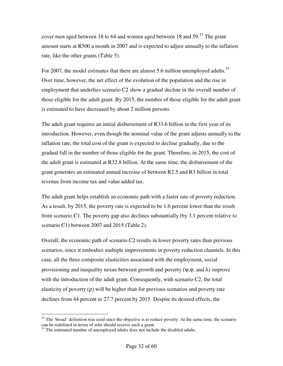cover men aged between 18 to 64 and women aged between 18 and  $59$ .<sup>32</sup> The grant amount starts at R500 a month in 2007 and is expected to adjust annually to the inflation rate, like the other grants (Table 5).

For 2007, the model estimates that there are almost 5.6 million unemployed adults.<sup>33</sup> Over time, however, the net effect of the evolution of the population and the rise in employment that underlies scenario C2 show a gradual decline in the overall number of those eligible for the adult grant. By 2015, the number of those eligible for the adult grant is estimated to have decreased by about 2 million persons.

The adult grant requires an initial disbursement of R33.6 billion in the first year of its introduction. However, even though the nominal value of the grant adjusts annually to the inflation rate, the total cost of the grant is expected to decline gradually, due to the gradual fall in the number of those eligible for the grant. Therefore, in 2015, the cost of the adult grant is estimated at R32.8 billion. At the same time, the disbursement of the grant generates an estimated annual increase of between R2.5 and R3 billion in total revenue from income tax and value added tax.

The adult grant helps establish an economic path with a faster rate of poverty reduction. As a result, by 2015, the poverty rate is expected to be 1.6 percent lower than the result from scenario C1. The poverty gap also declines substantially (by 3.1 percent relative to scenario C1) between 2007 and 2015 (Table 2).

Overall, the economic path of scenario C2 results in lower poverty rates than previous scenarios, since it embodies multiple improvements in poverty reduction channels. In this case, all the three composite elasticities associated with the employment, social provisioning and inequality nexus between growth and poverty ( $\psi$ , $\varphi$ , and  $\lambda$ ) improve with the introduction of the adult grant. Consequently, with scenario C2, the total elasticity of poverty (ρ) will be higher than for previous scenarios and poverty rate declines from 44 percent to 27.7 percent by 2015. Despite its desired effects, the

 $32$  The 'broad' definition was used since the objective is to reduce poverty. At the same time, the scenario can be redefined in terms of who should receive such a grant.

 $33$  The estimated number of unemployed adults does not include the disabled adults.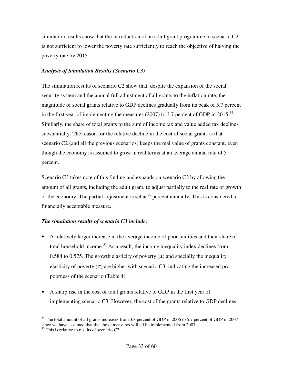simulation results show that the introduction of an adult grant programme in scenario C2 is not sufficient to lower the poverty rate sufficiently to reach the objective of halving the poverty rate by 2015.

#### *Analysis of Simulation Results (Scenario C3)*

The simulation results of scenario C2 show that, despite the expansion of the social security system and the annual full adjustment of all grants to the inflation rate, the magnitude of social grants relative to GDP declines gradually from its peak of 5.7 percent in the first year of implementing the measures (2007) to 3.7 percent of GDP in 2015.<sup>34</sup> Similarly, the share of total grants to the sum of income tax and value added tax declines substantially. The reason for the relative decline in the cost of social grants is that scenario C2 (and all the previous scenarios) keeps the real value of grants constant, even though the economy is assumed to grow in real terms at an average annual rate of 5 percent.

Scenario C3 takes note of this finding and expands on scenario C2 by allowing the amount of all grants, including the adult grant, to adjust partially to the real rate of growth of the economy. The partial adjustment is set at 2 percent annually. This is considered a financially acceptable measure.

#### *The simulation results of scenario C3 include:*

- A relatively larger increase in the average income of poor families and their share of total household income.<sup>35</sup> As a result, the income inequality index declines from 0.584 to 0.575. The growth elasticity of poverty  $(\mu)$  and specially the inequality elasticity of poverty  $(\sigma)$  are higher with scenario C3, indicating the increased propoorness of the scenario (Table 4).
- A sharp rise in the cost of total grants relative to GDP in the first year of implementing scenario C3. However, the cost of the grants relative to GDP declines

 $\overline{a}$  $34$  The total amount of all grants increases from 3.8 percent of GDP in 2006 to 5.7 percent of GDP in 2007 since we have assumed that the above measures will all be implemented from 2007.

 $35$  This is relative to results of scenario C2.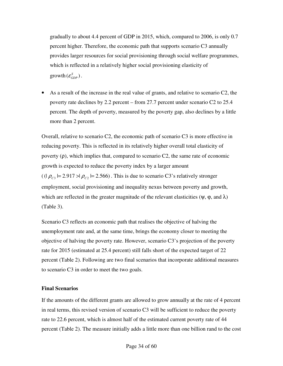gradually to about 4.4 percent of GDP in 2015, which, compared to 2006, is only 0.7 percent higher. Therefore, the economic path that supports scenario C3 annually provides larger resources for social provisioning through social welfare programmes, which is reflected in a relatively higher social provisioning elasticity of  $\text{growth}(\varepsilon_{GDP}^S)$ .

• As a result of the increase in the real value of grants, and relative to scenario C2, the poverty rate declines by 2.2 percent – from 27.7 percent under scenario C2 to 25.4 percent. The depth of poverty, measured by the poverty gap, also declines by a little more than 2 percent.

Overall, relative to scenario C2, the economic path of scenario C3 is more effective in reducing poverty. This is reflected in its relatively higher overall total elasticity of poverty  $(\rho)$ , which implies that, compared to scenario C2, the same rate of economic growth is expected to reduce the poverty index by a larger amount  $((\rho_{c_3} \models 2.917 \rightarrow \rho_{c_2} \models 2.566)$ . This is due to scenario C3's relatively stronger employment, social provisioning and inequality nexus between poverty and growth, which are reflected in the greater magnitude of the relevant elasticities ( $\psi$ ,  $\varphi$ , and  $\lambda$ ) (Table 3).

Scenario C3 reflects an economic path that realises the objective of halving the unemployment rate and, at the same time, brings the economy closer to meeting the objective of halving the poverty rate. However, scenario C3's projection of the poverty rate for 2015 (estimated at 25.4 percent) still falls short of the expected target of 22 percent (Table 2). Following are two final scenarios that incorporate additional measures to scenario C3 in order to meet the two goals.

#### **Final Scenarios**

If the amounts of the different grants are allowed to grow annually at the rate of 4 percent in real terms, this revised version of scenario C3 will be sufficient to reduce the poverty rate to 22.6 percent, which is almost half of the estimated current poverty rate of 44 percent (Table 2). The measure initially adds a little more than one billion rand to the cost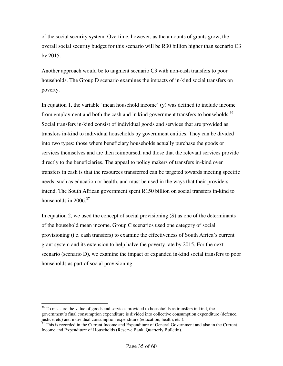of the social security system. Overtime, however, as the amounts of grants grow, the overall social security budget for this scenario will be R30 billion higher than scenario C3 by 2015.

Another approach would be to augment scenario C3 with non-cash transfers to poor households. The Group D scenario examines the impacts of in-kind social transfers on poverty.

In equation 1, the variable 'mean household income' (y) was defined to include income from employment and both the cash and in kind government transfers to households.<sup>36</sup> Social transfers in-kind consist of individual goods and services that are provided as transfers in-kind to individual households by government entities. They can be divided into two types: those where beneficiary households actually purchase the goods or services themselves and are then reimbursed, and those that the relevant services provide directly to the beneficiaries. The appeal to policy makers of transfers in-kind over transfers in cash is that the resources transferred can be targeted towards meeting specific needs, such as education or health, and must be used in the ways that their providers intend. The South African government spent R150 billion on social transfers in-kind to households in  $2006.<sup>37</sup>$ 

In equation 2, we used the concept of social provisioning  $(S)$  as one of the determinants of the household mean income. Group C scenarios used one category of social provisioning (i.e. cash transfers) to examine the effectiveness of South Africa's current grant system and its extension to help halve the poverty rate by 2015. For the next scenario (scenario D), we examine the impact of expanded in-kind social transfers to poor households as part of social provisioning.

 $36$  To measure the value of goods and services provided to households as transfers in kind, the government's final consumption expenditure is divided into collective consumption expenditure (defence, justice, etc) and individual consumption expenditure (education, health, etc.).

<sup>&</sup>lt;sup>37</sup> This is recorded in the Current Income and Expenditure of General Government and also in the Current Income and Expenditure of Households (Reserve Bank, Quarterly Bulletin).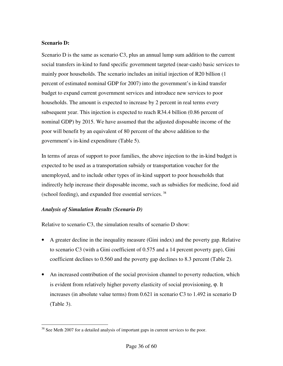#### **Scenario D:**

Scenario D is the same as scenario C3, plus an annual lump sum addition to the current social transfers in-kind to fund specific government targeted (near-cash) basic services to mainly poor households. The scenario includes an initial injection of R20 billion (1 percent of estimated nominal GDP for 2007) into the government's in-kind transfer budget to expand current government services and introduce new services to poor households. The amount is expected to increase by 2 percent in real terms every subsequent year. This injection is expected to reach R34.4 billion (0.86 percent of nominal GDP) by 2015. We have assumed that the adjusted disposable income of the poor will benefit by an equivalent of 80 percent of the above addition to the government's in-kind expenditure (Table 5).

In terms of areas of support to poor families, the above injection to the in-kind budget is expected to be used as a transportation subsidy or transportation voucher for the unemployed, and to include other types of in-kind support to poor households that indirectly help increase their disposable income, such as subsidies for medicine, food aid (school feeding), and expanded free essential services.<sup>38</sup>

#### *Analysis of Simulation Results (Scenario D)*

Relative to scenario C3, the simulation results of scenario D show:

- A greater decline in the inequality measure (Gini index) and the poverty gap. Relative to scenario C3 (with a Gini coefficient of 0.575 and a 14 percent poverty gap), Gini coefficient declines to 0.560 and the poverty gap declines to 8.3 percent (Table 2).
- An increased contribution of the social provision channel to poverty reduction, which is evident from relatively higher poverty elasticity of social provisioning, ϕ. It increases (in absolute value terms) from 0.621 in scenario C3 to 1.492 in scenario D (Table 3).

 $\overline{a}$ <sup>38</sup> See Meth 2007 for a detailed analysis of important gaps in current services to the poor.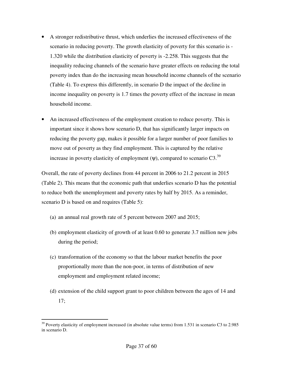- A stronger redistributive thrust, which underlies the increased effectiveness of the scenario in reducing poverty. The growth elasticity of poverty for this scenario is - 1.320 while the distribution elasticity of poverty is -2.258. This suggests that the inequality reducing channels of the scenario have greater effects on reducing the total poverty index than do the increasing mean household income channels of the scenario (Table 4). To express this differently, in scenario D the impact of the decline in income inequality on poverty is 1.7 times the poverty effect of the increase in mean household income.
- An increased effectiveness of the employment creation to reduce poverty. This is important since it shows how scenario D, that has significantly larger impacts on reducing the poverty gap, makes it possible for a larger number of poor families to move out of poverty as they find employment. This is captured by the relative increase in poverty elasticity of employment  $(\psi)$ , compared to scenario C3.<sup>39</sup>

Overall, the rate of poverty declines from 44 percent in 2006 to 21.2 percent in 2015 (Table 2). This means that the economic path that underlies scenario D has the potential to reduce both the unemployment and poverty rates by half by 2015. As a reminder, scenario D is based on and requires (Table 5):

- (a) an annual real growth rate of 5 percent between 2007 and 2015;
- (b) employment elasticity of growth of at least 0.60 to generate 3.7 million new jobs during the period;
- (c) transformation of the economy so that the labour market benefits the poor proportionally more than the non-poor, in terms of distribution of new employment and employment related income;
- (d) extension of the child support grant to poor children between the ages of 14 and 17;

 $39$  Poverty elasticity of employment increased (in absolute value terms) from 1.531 in scenario C3 to 2.985 in scenario D.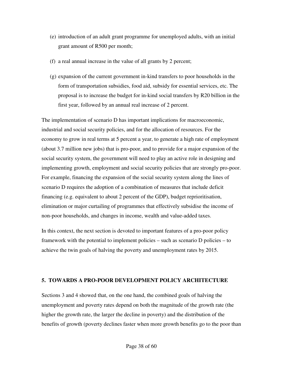- (e) introduction of an adult grant programme for unemployed adults, with an initial grant amount of R500 per month;
- (f) a real annual increase in the value of all grants by 2 percent;
- (g) expansion of the current government in-kind transfers to poor households in the form of transportation subsidies, food aid, subsidy for essential services, etc. The proposal is to increase the budget for in-kind social transfers by R20 billion in the first year, followed by an annual real increase of 2 percent.

The implementation of scenario D has important implications for macroeconomic, industrial and social security policies, and for the allocation of resources. For the economy to grow in real terms at 5 percent a year, to generate a high rate of employment (about 3.7 million new jobs) that is pro-poor, and to provide for a major expansion of the social security system, the government will need to play an active role in designing and implementing growth, employment and social security policies that are strongly pro-poor. For example, financing the expansion of the social security system along the lines of scenario D requires the adoption of a combination of measures that include deficit financing (e.g. equivalent to about 2 percent of the GDP), budget reprioritisation, elimination or major curtailing of programmes that effectively subsidise the income of non-poor households, and changes in income, wealth and value-added taxes.

In this context, the next section is devoted to important features of a pro-poor policy framework with the potential to implement policies – such as scenario D policies – to achieve the twin goals of halving the poverty and unemployment rates by 2015.

#### **5. TOWARDS A PRO-POOR DEVELOPMENT POLICY ARCHITECTURE**

Sections 3 and 4 showed that, on the one hand, the combined goals of halving the unemployment and poverty rates depend on both the magnitude of the growth rate (the higher the growth rate, the larger the decline in poverty) and the distribution of the benefits of growth (poverty declines faster when more growth benefits go to the poor than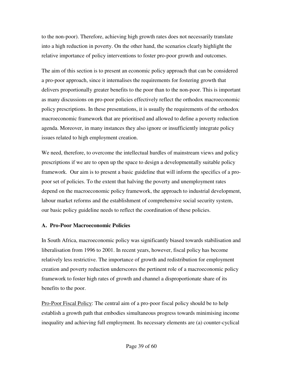to the non-poor). Therefore, achieving high growth rates does not necessarily translate into a high reduction in poverty. On the other hand, the scenarios clearly highlight the relative importance of policy interventions to foster pro-poor growth and outcomes.

The aim of this section is to present an economic policy approach that can be considered a pro-poor approach, since it internalises the requirements for fostering growth that delivers proportionally greater benefits to the poor than to the non-poor. This is important as many discussions on pro-poor policies effectively reflect the orthodox macroeconomic policy prescriptions. In these presentations, it is usually the requirements of the orthodox macroeconomic framework that are prioritised and allowed to define a poverty reduction agenda. Moreover, in many instances they also ignore or insufficiently integrate policy issues related to high employment creation.

We need, therefore, to overcome the intellectual hurdles of mainstream views and policy prescriptions if we are to open up the space to design a developmentally suitable policy framework. Our aim is to present a basic guideline that will inform the specifics of a propoor set of policies. To the extent that halving the poverty and unemployment rates depend on the macroeconomic policy framework, the approach to industrial development, labour market reforms and the establishment of comprehensive social security system, our basic policy guideline needs to reflect the coordination of these policies.

#### **A. Pro-Poor Macroeconomic Policies**

In South Africa, macroeconomic policy was significantly biased towards stabilisation and liberalisation from 1996 to 2001. In recent years, however, fiscal policy has become relatively less restrictive. The importance of growth and redistribution for employment creation and poverty reduction underscores the pertinent role of a macroeconomic policy framework to foster high rates of growth and channel a disproportionate share of its benefits to the poor.

Pro-Poor Fiscal Policy: The central aim of a pro-poor fiscal policy should be to help establish a growth path that embodies simultaneous progress towards minimising income inequality and achieving full employment. Its necessary elements are (a) counter-cyclical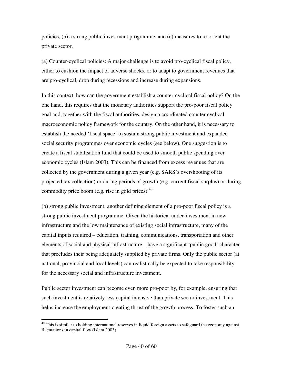policies, (b) a strong public investment programme, and (c) measures to re-orient the private sector.

(a) Counter-cyclical policies: A major challenge is to avoid pro-cyclical fiscal policy, either to cushion the impact of adverse shocks, or to adapt to government revenues that are pro-cyclical, drop during recessions and increase during expansions.

In this context, how can the government establish a counter-cyclical fiscal policy? On the one hand, this requires that the monetary authorities support the pro-poor fiscal policy goal and, together with the fiscal authorities, design a coordinated counter cyclical macroeconomic policy framework for the country. On the other hand, it is necessary to establish the needed 'fiscal space' to sustain strong public investment and expanded social security programmes over economic cycles (see below). One suggestion is to create a fiscal stabilisation fund that could be used to smooth public spending over economic cycles (Islam 2003). This can be financed from excess revenues that are collected by the government during a given year (e.g. SARS's overshooting of its projected tax collection) or during periods of growth (e.g. current fiscal surplus) or during commodity price boom (e.g. rise in gold prices). $40$ 

(b) strong public investment: another defining element of a pro-poor fiscal policy is a strong public investment programme. Given the historical under-investment in new infrastructure and the low maintenance of existing social infrastructure, many of the capital inputs required – education, training, communications, transportation and other elements of social and physical infrastructure – have a significant 'public good' character that precludes their being adequately supplied by private firms. Only the public sector (at national, provincial and local levels) can realistically be expected to take responsibility for the necessary social and infrastructure investment.

Public sector investment can become even more pro-poor by, for example, ensuring that such investment is relatively less capital intensive than private sector investment. This helps increase the employment-creating thrust of the growth process. To foster such an

 $40$  This is similar to holding international reserves in liquid foreign assets to safeguard the economy against fluctuations in capital flow (Islam 2003).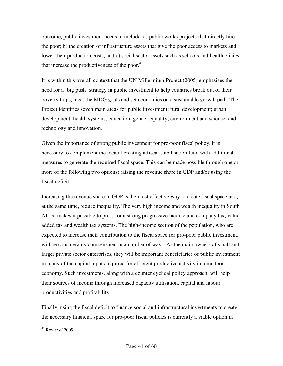outcome, public investment needs to include: a) public works projects that directly hire the poor; b) the creation of infrastructure assets that give the poor access to markets and lower their production costs, and c) social sector assets such as schools and health clinics that increase the productiveness of the poor. $41$ 

It is within this overall context that the UN Millennium Project (2005) emphasises the need for a 'big push' strategy in public investment to help countries break out of their poverty traps, meet the MDG goals and set economies on a sustainable growth path. The Project identifies seven main areas for public investment: rural development; urban development; health systems; education; gender equality; environment and science, and technology and innovation.

Given the importance of strong public investment for pro-poor fiscal policy, it is necessary to complement the idea of creating a fiscal stabilisation fund with additional measures to generate the required fiscal space. This can be made possible through one or more of the following two options: raising the revenue share in GDP and/or using the fiscal deficit.

Increasing the revenue share in GDP is the most effective way to create fiscal space and, at the same time, reduce inequality. The very high income and wealth inequality in South Africa makes it possible to press for a strong progressive income and company tax, value added tax and wealth tax systems. The high-income section of the population, who are expected to increase their contribution to the fiscal space for pro-poor public investment, will be considerably compensated in a number of ways. As the main owners of small and larger private sector enterprises, they will be important beneficiaries of public investment in many of the capital inputs required for efficient productive activity in a modern economy. Such investments, along with a counter cyclical policy approach, will help their sources of income through increased capacity utilisation, capital and labour productivities and profitability.

Finally, using the fiscal deficit to finance social and infrastructural investments to create the necessary financial space for pro-poor fiscal policies is currently a viable option in

<sup>41</sup> Roy *et al* 2005.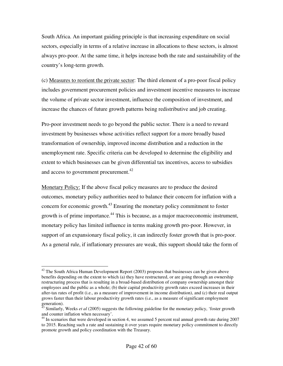South Africa. An important guiding principle is that increasing expenditure on social sectors, especially in terms of a relative increase in allocations to these sectors, is almost always pro-poor. At the same time, it helps increase both the rate and sustainability of the country's long-term growth.

(c) Measures to reorient the private sector: The third element of a pro-poor fiscal policy includes government procurement policies and investment incentive measures to increase the volume of private sector investment, influence the composition of investment, and increase the chances of future growth patterns being redistributive and job creating.

Pro-poor investment needs to go beyond the public sector. There is a need to reward investment by businesses whose activities reflect support for a more broadly based transformation of ownership, improved income distribution and a reduction in the unemployment rate. Specific criteria can be developed to determine the eligibility and extent to which businesses can be given differential tax incentives, access to subsidies and access to government procurement.<sup>42</sup>

Monetary Policy: If the above fiscal policy measures are to produce the desired outcomes, monetary policy authorities need to balance their concern for inflation with a concern for economic growth.<sup>43</sup> Ensuring the monetary policy commitment to foster growth is of prime importance.<sup>44</sup> This is because, as a major macroeconomic instrument, monetary policy has limited influence in terms making growth pro-poor. However, in support of an expansionary fiscal policy, it can indirectly foster growth that is pro-poor. As a general rule, if inflationary pressures are weak, this support should take the form of

 $42$  The South Africa Human Development Report (2003) proposes that businesses can be given above benefits depending on the extent to which (a) they have restructured, or are going through an ownership restructuring process that is resulting in a broad-based distribution of company ownership amongst their employees and the public as a whole; (b) their capital productivity growth rates exceed increases in their after-tax rates of profit (i.e., as a measure of improvement in income distribution), and (c) their real output grows faster than their labour productivity growth rates (i.e., as a measure of significant employment generation).

<sup>&</sup>lt;sup>43</sup> Similarly, Weeks *et al* (2005) suggests the following guideline for the monetary policy, 'foster growth and counter inflation when necessary'.

<sup>&</sup>lt;sup>44</sup> In scenarios that were developed in section 4, we assumed 5 percent real annual growth rate during 2007 to 2015. Reaching such a rate and sustaining it over years require monetary policy commitment to directly promote growth and policy coordination with the Treasury.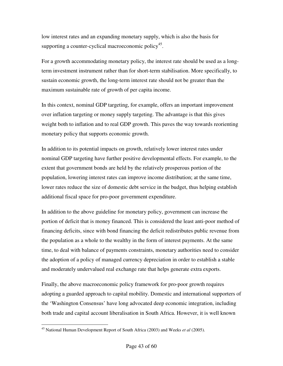low interest rates and an expanding monetary supply, which is also the basis for supporting a counter-cyclical macroeconomic policy<sup>45</sup>.

For a growth accommodating monetary policy, the interest rate should be used as a longterm investment instrument rather than for short-term stabilisation. More specifically, to sustain economic growth, the long-term interest rate should not be greater than the maximum sustainable rate of growth of per capita income.

In this context, nominal GDP targeting, for example, offers an important improvement over inflation targeting or money supply targeting. The advantage is that this gives weight both to inflation and to real GDP growth. This paves the way towards reorienting monetary policy that supports economic growth.

In addition to its potential impacts on growth, relatively lower interest rates under nominal GDP targeting have further positive developmental effects. For example, to the extent that government bonds are held by the relatively prosperous portion of the population, lowering interest rates can improve income distribution; at the same time, lower rates reduce the size of domestic debt service in the budget, thus helping establish additional fiscal space for pro-poor government expenditure.

In addition to the above guideline for monetary policy, government can increase the portion of deficit that is money financed. This is considered the least anti-poor method of financing deficits, since with bond financing the deficit redistributes public revenue from the population as a whole to the wealthy in the form of interest payments. At the same time, to deal with balance of payments constraints, monetary authorities need to consider the adoption of a policy of managed currency depreciation in order to establish a stable and moderately undervalued real exchange rate that helps generate extra exports.

Finally, the above macroeconomic policy framework for pro-poor growth requires adopting a guarded approach to capital mobility. Domestic and international supporters of the 'Washington Consensus' have long advocated deep economic integration, including both trade and capital account liberalisation in South Africa. However, it is well known

<sup>45</sup> National Human Development Report of South Africa (2003) and Weeks *et al* (2005).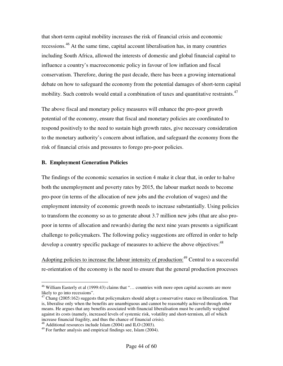that short-term capital mobility increases the risk of financial crisis and economic recessions.<sup>46</sup> At the same time, capital account liberalisation has, in many countries including South Africa, allowed the interests of domestic and global financial capital to influence a country's macroeconomic policy in favour of low inflation and fiscal conservatism. Therefore, during the past decade, there has been a growing international debate on how to safeguard the economy from the potential damages of short-term capital mobility. Such controls would entail a combination of taxes and quantitative restraints.<sup>47</sup>

The above fiscal and monetary policy measures will enhance the pro-poor growth potential of the economy, ensure that fiscal and monetary policies are coordinated to respond positively to the need to sustain high growth rates, give necessary consideration to the monetary authority's concern about inflation, and safeguard the economy from the risk of financial crisis and pressures to forego pro-poor policies.

#### **B. Employment Generation Policies**

The findings of the economic scenarios in section 4 make it clear that, in order to halve both the unemployment and poverty rates by 2015, the labour market needs to become pro-poor (in terms of the allocation of new jobs and the evolution of wages) and the employment intensity of economic growth needs to increase substantially. Using policies to transform the economy so as to generate about 3.7 million new jobs (that are also propoor in terms of allocation and rewards) during the next nine years presents a significant challenge to policymakers. The following policy suggestions are offered in order to help develop a country specific package of measures to achieve the above objectives:<sup>48</sup>

Adopting policies to increase the labour intensity of production:  $49$  Central to a successful re-orientation of the economy is the need to ensure that the general production processes

<sup>48</sup> Additional resources include Islam (2004) and ILO (2003).

<sup>&</sup>lt;sup>46</sup> William Easterly et al (1999:43) claims that "... countries with more open capital accounts are more likely to go into recessions".

 $^{47}$  Chang (2005:162) suggests that policymakers should adopt a conservative stance on liberalization. That is, liberalise only when the benefits are unambiguous and cannot be reasonably achieved through other means. He argues that any benefits associated with financial liberalisation must be carefully weighted against its costs (namely, increased levels of systemic risk, volatility and short-termism, all of which increase financial fragility, and thus the chance of financial crisis).

 $49$  For further analysis and empirical findings see, Islam (2004).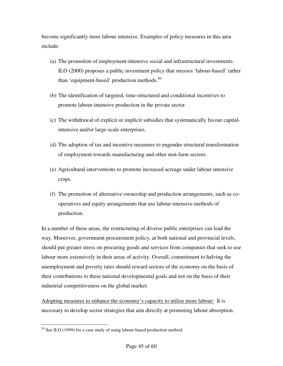become significantly more labour intensive. Examples of policy measures in this area include:

- (a) The promotion of employment-intensive social and infrastructural investments. ILO (2000) proposes a public investment policy that stresses 'labour-based' rather than 'equipment-based' production methods. $50$
- (b) The identification of targeted, time-structured and conditional incentives to promote labour-intensive production in the private sector.
- (c) The withdrawal of explicit or implicit subsidies that systematically favour capitalintensive and/or large-scale enterprises.
- (d) The adoption of tax and incentive measures to engender structural transformation of employment towards manufacturing and other non-farm sectors.
- (e) Agricultural interventions to promote increased acreage under labour-intensive crops.
- (f) The promotion of alternative ownership and production arrangements, such as cooperatives and equity arrangements that use labour-intensive methods of production.

In a number of these areas, the restructuring of diverse public enterprises can lead the way. Moreover, government procurement policy, at both national and provincial levels, should put greater stress on procuring goods and services from companies that seek to use labour more extensively in their areas of activity. Overall, commitment to halving the unemployment and poverty rates should reward sectors of the economy on the basis of their contributions to these national developmental goals and not on the basis of their industrial competitiveness on the global market.

Adopting measures to enhance the economy's capacity to utilise more labour: It is necessary to develop sector strategies that aim directly at promoting labour absorption.

 $50$  See ILO (1999) for a case study of using labour-based production method.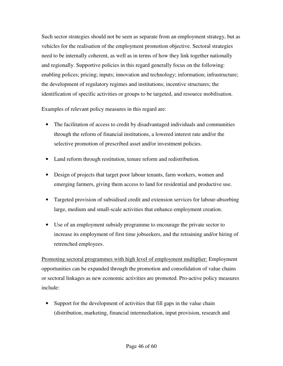Such sector strategies should not be seen as separate from an employment strategy, but as vehicles for the realisation of the employment promotion objective. Sectoral strategies need to be internally coherent, as well as in terms of how they link together nationally and regionally. Supportive policies in this regard generally focus on the following: enabling polices; pricing; inputs; innovation and technology; information; infrastructure; the development of regulatory regimes and institutions; incentive structures; the identification of specific activities or groups to be targeted, and resource mobilisation.

Examples of relevant policy measures in this regard are:

- The facilitation of access to credit by disadvantaged individuals and communities through the reform of financial institutions, a lowered interest rate and/or the selective promotion of prescribed asset and/or investment policies.
- Land reform through restitution, tenure reform and redistribution.
- Design of projects that target poor labour tenants, farm workers, women and emerging farmers, giving them access to land for residential and productive use.
- Targeted provision of subsidised credit and extension services for labour-absorbing large, medium and small-scale activities that enhance employment creation.
- Use of an employment subsidy programme to encourage the private sector to increase its employment of first time jobseekers, and the retraining and/or hiring of retrenched employees.

Promoting sectoral programmes with high level of employment multiplier: Employment opportunities can be expanded through the promotion and consolidation of value chains or sectoral linkages as new economic activities are promoted. Pro-active policy measures include:

• Support for the development of activities that fill gaps in the value chain (distribution, marketing, financial intermediation, input provision, research and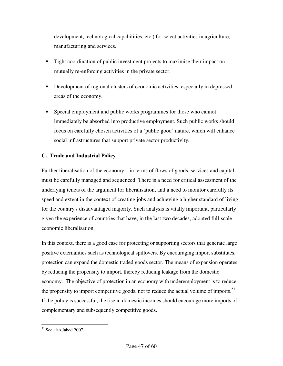development, technological capabilities, etc.) for select activities in agriculture, manufacturing and services.

- Tight coordination of public investment projects to maximise their impact on mutually re-enforcing activities in the private sector.
- Development of regional clusters of economic activities, especially in depressed areas of the economy.
- Special employment and public works programmes for those who cannot immediately be absorbed into productive employment. Such public works should focus on carefully chosen activities of a 'public good' nature, which will enhance social infrastructures that support private sector productivity.

# **C. Trade and Industrial Policy**

Further liberalisation of the economy – in terms of flows of goods, services and capital – must be carefully managed and sequenced. There is a need for critical assessment of the underlying tenets of the argument for liberalisation, and a need to monitor carefully its speed and extent in the context of creating jobs and achieving a higher standard of living for the country's disadvantaged majority. Such analysis is vitally important, particularly given the experience of countries that have, in the last two decades, adopted full-scale economic liberalisation.

In this context, there is a good case for protecting or supporting sectors that generate large positive externalities such as technological spillovers. By encouraging import substitutes, protection can expand the domestic traded goods sector. The means of expansion operates by reducing the propensity to import, thereby reducing leakage from the domestic economy. The objective of protection in an economy with underemployment is to reduce the propensity to import competitive goods, not to reduce the actual volume of imports.<sup>51</sup> If the policy is successful, the rise in domestic incomes should encourage more imports of complementary and subsequently competitive goods.

<sup>51</sup> See also Jahed 2007.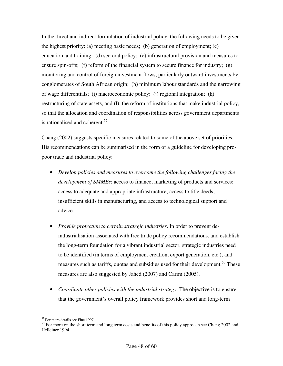In the direct and indirect formulation of industrial policy, the following needs to be given the highest priority: (a) meeting basic needs; (b) generation of employment; (c) education and training; (d) sectoral policy; (e) infrastructural provision and measures to ensure spin-offs; (f) reform of the financial system to secure finance for industry; (g) monitoring and control of foreign investment flows, particularly outward investments by conglomerates of South African origin; (h) minimum labour standards and the narrowing of wage differentials; (i) macroeconomic policy; (j) regional integration; (k) restructuring of state assets, and (l), the reform of institutions that make industrial policy, so that the allocation and coordination of responsibilities across government departments is rationalised and coherent.<sup>52</sup>

Chang (2002) suggests specific measures related to some of the above set of priorities. His recommendations can be summarised in the form of a guideline for developing propoor trade and industrial policy:

- *Develop policies and measures to overcome the following challenges facing the development of SMMEs*: access to finance; marketing of products and services; access to adequate and appropriate infrastructure; access to title deeds; insufficient skills in manufacturing, and access to technological support and advice.
- *Provide protection to certain strategic industries*. In order to prevent deindustrialisation associated with free trade policy recommendations, and establish the long-term foundation for a vibrant industrial sector, strategic industries need to be identified (in terms of employment creation, export generation, etc.), and measures such as tariffs, quotas and subsidies used for their development.<sup>53</sup> These measures are also suggested by Jahed (2007) and Carim (2005).
- *Coordinate other policies with the industrial strategy*. The objective is to ensure that the government's overall policy framework provides short and long-term

 $\overline{a}$ <sup>52</sup> For more details see Fine 1997.

 $53$  For more on the short term and long term costs and benefits of this policy approach see Chang 2002 and Helleiner 1994.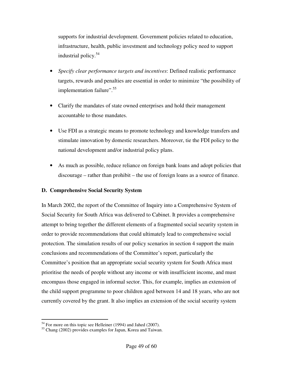supports for industrial development. Government policies related to education, infrastructure, health, public investment and technology policy need to support industrial policy.<sup>54</sup>

- *Specify clear performance targets and incentives*: Defined realistic performance targets, rewards and penalties are essential in order to minimize "the possibility of implementation failure".<sup>55</sup>
- Clarify the mandates of state owned enterprises and hold their management accountable to those mandates.
- Use FDI as a strategic means to promote technology and knowledge transfers and stimulate innovation by domestic researchers. Moreover, tie the FDI policy to the national development and/or industrial policy plans.
- As much as possible, reduce reliance on foreign bank loans and adopt policies that discourage – rather than prohibit – the use of foreign loans as a source of finance.

#### **D. Comprehensive Social Security System**

In March 2002, the report of the Committee of Inquiry into a Comprehensive System of Social Security for South Africa was delivered to Cabinet. It provides a comprehensive attempt to bring together the different elements of a fragmented social security system in order to provide recommendations that could ultimately lead to comprehensive social protection. The simulation results of our policy scenarios in section 4 support the main conclusions and recommendations of the Committee's report, particularly the Committee's position that an appropriate social security system for South Africa must prioritise the needs of people without any income or with insufficient income, and must encompass those engaged in informal sector. This, for example, implies an extension of the child support programme to poor children aged between 14 and 18 years, who are not currently covered by the grant. It also implies an extension of the social security system

 $\overline{a}$  $54$  For more on this topic see Helleiner (1994) and Jahed (2007).

<sup>55</sup> Chang (2002) provides examples for Japan, Korea and Taiwan.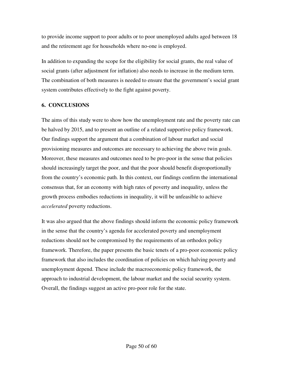to provide income support to poor adults or to poor unemployed adults aged between 18 and the retirement age for households where no-one is employed.

In addition to expanding the scope for the eligibility for social grants, the real value of social grants (after adjustment for inflation) also needs to increase in the medium term. The combination of both measures is needed to ensure that the government's social grant system contributes effectively to the fight against poverty.

#### **6. CONCLUSIONS**

The aims of this study were to show how the unemployment rate and the poverty rate can be halved by 2015, and to present an outline of a related supportive policy framework. Our findings support the argument that a combination of labour market and social provisioning measures and outcomes are necessary to achieving the above twin goals. Moreover, these measures and outcomes need to be pro-poor in the sense that policies should increasingly target the poor, and that the poor should benefit disproportionally from the country's economic path. In this context, our findings confirm the international consensus that, for an economy with high rates of poverty and inequality, unless the growth process embodies reductions in inequality, it will be unfeasible to achieve *accelerated* poverty reductions.

It was also argued that the above findings should inform the economic policy framework in the sense that the country's agenda for accelerated poverty and unemployment reductions should not be compromised by the requirements of an orthodox policy framework. Therefore, the paper presents the basic tenets of a pro-poor economic policy framework that also includes the coordination of policies on which halving poverty and unemployment depend. These include the macroeconomic policy framework, the approach to industrial development, the labour market and the social security system. Overall, the findings suggest an active pro-poor role for the state.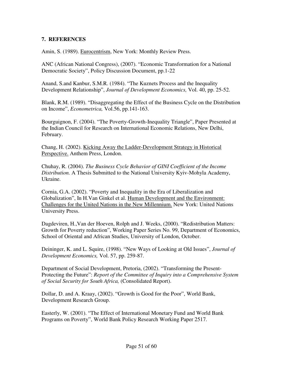## **7. REFERENCES**

Amin, S. (1989). Eurocentrism, New York: Monthly Review Press.

ANC (African National Congress), (2007). "Economic Transformation for a National Democratic Society", Policy Discussion Document, pp.1-22

Anand, S.and Kanbur, S.M.R. (1984). "The Kuznets Process and the Inequality Development Relationship", *Journal of Development Economics,* Vol. 40, pp. 25-52.

Blank, R.M. (1989). "Disaggregating the Effect of the Business Cycle on the Distribution on Income", *Econometrica,* Vol.56, pp.141-163.

Bourguignon, F. (2004). "The Poverty-Growth-Inequality Triangle", Paper Presented at the Indian Council for Research on International Economic Relations, New Delhi, February.

Chang, H. (2002). Kicking Away the Ladder-Development Strategy in Historical Perspective. Anthem Press, London.

Chuhay, R. (2004). *The Business Cycle Behavior of GINI Coefficient of the Income Distribution.* A Thesis Submitted to the National University Kyiv-Mohyla Academy, Ukraine.

Cornia, G.A. (2002). "Poverty and Inequality in the Era of Liberalization and Globalization", In H.Van Ginkel et al. Human Development and the Environment: Challenges for the United Nations in the New Millennium. New York: United Nations University Press.

Dagdeviren, H.,Van der Hoeven, Rolph and J. Weeks, (2000). "Redistribution Matters: Growth for Poverty reduction", Working Paper Series No. 99, Department of Economics, School of Oriental and African Studies, University of London, October.

Deininger, K. and L. Squire, (1998). "New Ways of Looking at Old Issues", *Journal of Development Economics,* Vol. 57, pp. 259-87.

Department of Social Development, Pretoria, (2002). "Transforming the Present-Protecting the Future": *Report of the Committee of Inquiry into a Comprehensive System of Social Security for South Africa,* (Consolidated Report).

Dollar, D. and A. Kraay, (2002). "Growth is Good for the Poor", World Bank, Development Research Group.

Easterly, W. (2001). "The Effect of International Monetary Fund and World Bank Programs on Poverty", World Bank Policy Research Working Paper 2517.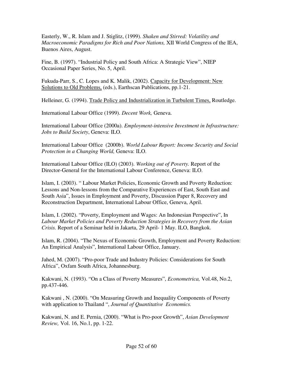Easterly, W., R. Islam and J. Stiglitz, (1999). *Shaken and Stirred: Volatility and Macroeconomic Paradigms for Rich and Poor Nations,* XII World Congress of the IEA, Buenos Aires, August.

Fine, B. (1997). "Industrial Policy and South Africa: A Strategic View", NIEP Occasional Paper Series, No. 5, April.

Fukuda-Parr, S., C. Lopes and K. Malik, (2002). Capacity for Development: New Solutions to Old Problems, (eds.), Earthscan Publications, pp.1-21.

Helleiner, G. (1994). Trade Policy and Industrialization in Turbulent Times, Routledge.

International Labour Office (1999). *Decent Work,* Geneva.

International Labour Office (2000a). *Employment-intensive Investment in Infrastructure: Jobs to Build Society*, Geneva: ILO.

International Labour Office (2000b). *World Labour Report: Income Security and Social Protection in a Changing World,* Geneva: ILO.

International Labour Office (ILO) (2003). *Working out of Poverty.* Report of the Director-General for the International Labour Conference, Geneva: ILO.

Islam, I. (2003). " Labour Market Policies, Economic Growth and Poverty Reduction: Lessons and Non-lessons from the Comparative Experiences of East, South East and South Asia", Issues in Employment and Poverty, Discussion Paper 8, Recovery and Reconstruction Department, International Labour Office, Geneva, April.

Islam, I. (2002). "Poverty, Employment and Wages: An Indonesian Perspective", In *Labour Market Policies and Poverty Reduction Strategies in Recovery from the Asian Crisis.* Report of a Seminar held in Jakarta, 29 April- 1 May. ILO, Bangkok.

Islam, R. (2004). "The Nexus of Economic Growth, Employment and Poverty Reduction: An Empirical Analysis", International Labour Office, January.

Jahed, M. (2007). "Pro-poor Trade and Industry Policies: Considerations for South Africa", Oxfam South Africa, Johannesburg.

Kakwani, N. (1993). "On a Class of Poverty Measures", *Econometrica,* Vol.48, No.2, pp.437-446.

Kakwani , N. (2000). "On Measuring Growth and Inequality Components of Poverty with application to Thailand ", *Journal of Quantitative Economics.* 

Kakwani, N. and E. Pernia, (2000). "What is Pro-poor Growth", *Asian Development Review,* Vol. 16, No.1, pp. 1-22.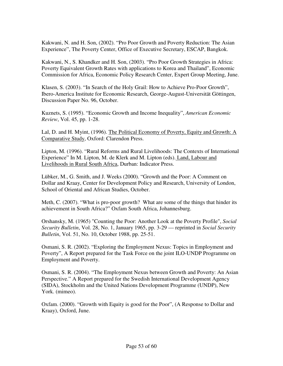Kakwani, N. and H. Son, (2002). "Pro Poor Growth and Poverty Reduction: The Asian Experience", The Poverty Center, Office of Executive Secretary, ESCAP, Bangkok.

Kakwani, N., S. Khandker and H. Son, (2003). "Pro Poor Growth Strategies in Africa: Poverty Equivalent Growth Rates with applications to Korea and Thailand", Economic Commission for Africa, Economic Policy Research Center, Expert Group Meeting, June.

Klasen, S. (2003). "In Search of the Holy Grail: How to Achieve Pro-Poor Growth", Ibero-America Institute for Economic Research, George-August-Universität Göttingen, Discussion Paper No. 96, October.

Kuznets, S. (1995). "Economic Growth and Income Inequality", *American Economic Review*, Vol. 45, pp. 1-28.

Lal, D. and H. Myint, (1996). The Political Economy of Poverty, Equity and Growth: A Comparative Study, Oxford: Clarendon Press.

Lipton, M. (1996). "Rural Reforms and Rural Livelihoods: The Contexts of International Experience" In M. Lipton, M. de Klerk and M. Lipton (eds). Land, Labour and Livelihoods in Rural South Africa, Durban: Indicator Press.

Lübker, M., G. Smith, and J. Weeks (2000). "Growth and the Poor: A Comment on Dollar and Kraay, Center for Development Policy and Research, University of London, School of Oriental and African Studies, October.

Meth, C. (2007). "What is pro-poor growth? What are some of the things that hinder its achievement in South Africa?" Oxfam South Africa, Johannesburg.

Orshansky, M. (1965) "Counting the Poor: Another Look at the Poverty Profile", *Social Security Bulletin*, Vol. 28, No. 1, January 1965, pp. 3-29 — reprinted in *Social Security Bulletin*, Vol. 51, No. 10, October 1988, pp. 25-51.

Osmani, S. R. (2002). "Exploring the Employment Nexus: Topics in Employment and Poverty", A Report prepared for the Task Force on the joint ILO-UNDP Programme on Employment and Poverty.

Osmani, S. R. (2004). "The Employment Nexus between Growth and Poverty: An Asian Perspective." A Report prepared for the Swedish International Development Agency (SIDA), Stockholm and the United Nations Development Programme (UNDP), New York. (mimeo).

Oxfam. (2000). "Growth with Equity is good for the Poor", (A Response to Dollar and Kraay), Oxford, June.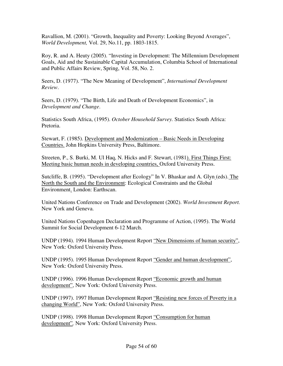Ravallion, M. (2001). "Growth, Inequality and Poverty: Looking Beyond Averages", *World Development,* Vol. 29, No.11, pp. 1803-1815.

Roy, R. and A. Heuty (2005). "Investing in Development: The Millennium Development Goals, Aid and the Sustainable Capital Accumulation, Columbia School of International and Public Affairs Review, Spring, Vol. 58, No. 2.

Seers, D. (1977). "The New Meaning of Development", *International Development Review*.

Seers, D. (1979). "The Birth, Life and Death of Development Economics", in *Development and Change*.

Statistics South Africa, (1995). *October Household Survey.* Statistics South Africa: Pretoria.

Stewart, F. (1985). Development and Modernization – Basic Needs in Developing Countries. John Hopkins University Press, Baltimore.

Streeten, P., S. Burki, M. Ul Haq, N. Hicks and F. Stewart, (1981). First Things First: Meeting basic human needs in developing countries, Oxford University Press.

Sutcliffe, B. (1995). "Development after Ecology" In V. Bhaskar and A. Glyn (eds). The North the South and the Environment: Ecological Constraints and the Global Environment. London: Earthscan.

United Nations Conference on Trade and Development (2002). *World Investment Report.* New York and Geneva.

United Nations Copenhagen Declaration and Programme of Action, (1995). The World Summit for Social Development 6-12 March.

UNDP (1994). 1994 Human Development Report "New Dimensions of human security", New York: Oxford University Press.

UNDP (1995). 1995 Human Development Report "Gender and human development", New York: Oxford University Press.

UNDP (1996). 1996 Human Development Report "Economic growth and human development", New York: Oxford University Press.

UNDP (1997). 1997 Human Development Report "Resisting new forces of Poverty in a changing World", New York: Oxford University Press.

UNDP (1998). 1998 Human Development Report "Consumption for human development"*,* New York: Oxford University Press.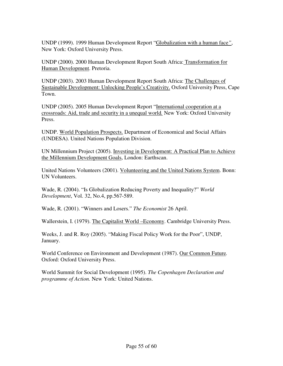UNDP (1999). 1999 Human Development Report "Globalization with a human face*"*, New York: Oxford University Press.

UNDP (2000). 2000 Human Development Report South Africa: Transformation for Human Development. Pretoria.

UNDP (2003). 2003 Human Development Report South Africa: The Challenges of Sustainable Development: Unlocking People's Creativity. Oxford University Press, Cape Town.

UNDP (2005). 2005 Human Development Report "International cooperation at a crossroads: Aid, trade and security in a unequal world*.* New York: Oxford University Press.

UNDP. World Population Prospects. Department of Economical and Social Affairs (UNDESA). United Nations Population Division.

UN Millennium Project (2005). Investing in Development: A Practical Plan to Achieve the Millennium Development Goals, London: Earthscan.

United Nations Volunteers (2001). Volunteering and the United Nations System. Bonn: UN Volunteers.

Wade, R. (2004). "Is Globalization Reducing Poverty and Inequality?" *World Development*, Vol. 32, No.4, pp.567-589.

Wade, R. (2001). "Winners and Losers." *The Economist* 26 April.

Wallerstein, I. (1979). The Capitalist World –Economy. Cambridge University Press.

Weeks, J. and R. Roy (2005). "Making Fiscal Policy Work for the Poor", UNDP, January.

World Conference on Environment and Development (1987). Our Common Future*.* Oxford: Oxford University Press.

World Summit for Social Development (1995). *The Copenhagen Declaration and programme of Action.* New York: United Nations.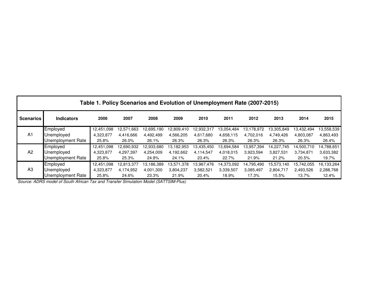| Table 1. Policy Scenarios and Evolution of Unemployment Rate (2007-2015) |                   |            |            |            |            |            |            |            |            |            |            |  |  |
|--------------------------------------------------------------------------|-------------------|------------|------------|------------|------------|------------|------------|------------|------------|------------|------------|--|--|
| <b>Scenarios</b>                                                         | <b>Indicators</b> | 2006       | 2007       | 2008       | 2009       | 2010       | 2011       | 2012       | 2013       | 2014       | 2015       |  |  |
| A <sub>1</sub>                                                           | Employed          | 12,451,098 | 12,571,663 | 12,695,190 | 12,809,410 | 12,932,317 | 13,054,484 | 13,178,972 | 13,305,849 | 13,432,494 | 13,558,539 |  |  |
|                                                                          | Unemployed        | 4,323,877  | 4,416,666  | 4,492,499  | 4,566,205  | 4,617,680  | 4,658,115  | 4,702,016  | 4,749,426  | 4,803,087  | 4,863,493  |  |  |
|                                                                          | Unemployment Rate | 25.8%      | 26.0%      | 26.1%      | 26.3%      | 26.3%      | 26.3%      | 26.3%      | 26.3%      | 26.3%      | 26.4%      |  |  |
| A <sub>2</sub>                                                           | Employed          | 12,451,098 | 12,690,932 | 12,933,680 | 13,182,953 | 13,435,450 | 13,694,584 | 13,957,394 | 14,227,745 | 14,500,710 | 14,788,651 |  |  |
|                                                                          | Unemployed        | 4,323,877  | 4,297,397  | 4,254,009  | 4,192,662  | 4,114,547  | 4,018,015  | 3,923,594  | 3,827,531  | 3,734,871  | 3,633,382  |  |  |
|                                                                          | Unemployment Rate | 25.8%      | 25.3%      | 24.8%      | 24.1%      | 23.4%      | 22.7%      | 21.9%      | 21.2%      | 20.5%      | 19.7%      |  |  |
| A3                                                                       | Employed          | 12,451,098 | 12,813,377 | 13,186,389 | 13,571,378 | 13,967,476 | 14,373,092 | 14,795,490 | 15,573,140 | 15,742,055 | 16,133,264 |  |  |
|                                                                          | Unemploved        | 4,323,877  | 4,174,952  | 4,001,300  | 3,804,237  | 3,582,521  | 3,339,507  | 3,085,497  | 2,804,717  | 2,493,526  | 2,288,768  |  |  |
|                                                                          | Unemployment Rate | 25.8%      | 24.6%      | 23.3%      | 21.9%      | 20.4%      | 18.9%      | 17.3%      | 15.5%      | 13.7%      | 12.4%      |  |  |

Source: ADRS model of South African Tax and Transfer Simulation Model (SATTSIM-Plus)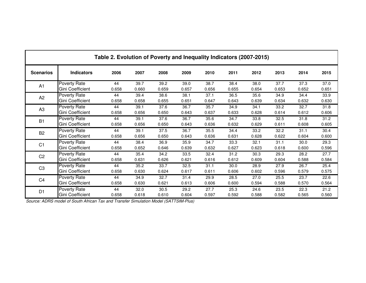| Table 2. Evolution of Poverty and Inequality Indicators (2007-2015) |                     |       |       |       |       |       |       |       |       |       |       |  |  |
|---------------------------------------------------------------------|---------------------|-------|-------|-------|-------|-------|-------|-------|-------|-------|-------|--|--|
| <b>Scenarios</b>                                                    | <b>Indicators</b>   | 2006  | 2007  | 2008  | 2009  | 2010  | 2011  | 2012  | 2013  | 2014  | 2015  |  |  |
| A1                                                                  | Poverty Rate        | 44    | 39.7  | 39.2  | 39.0  | 38.7  | 38.4  | 38.0  | 37.7  | 37.3  | 37.0  |  |  |
|                                                                     | Gini Coefficient    | 0.658 | 0.660 | 0.659 | 0.657 | 0.656 | 0.655 | 0.654 | 0.653 | 0.652 | 0.651 |  |  |
| A <sub>2</sub>                                                      | Poverty Rate        | 44    | 39.4  | 38.6  | 38.1  | 37.1  | 36.5  | 35.6  | 34.9  | 34.4  | 33.9  |  |  |
|                                                                     | Gini Coefficient    | 0.658 | 0.658 | 0.655 | 0.651 | 0.647 | 0.643 | 0.639 | 0.634 | 0.632 | 0.630 |  |  |
| A <sub>3</sub>                                                      | <b>Poverty Rate</b> | 44    | 39.1  | 37.6  | 36.7  | 35.7  | 34.9  | 34.1  | 33.2  | 32.7  | 31.8  |  |  |
|                                                                     | Gini Coefficient    | 0.658 | 0.656 | 0.650 | 0.643 | 0.637 | 0.633 | 0.628 | 0.614 | 0.612 | 0.606 |  |  |
| <b>B1</b>                                                           | <b>Poverty Rate</b> | 44    | 39.1  | 37.6  | 36.7  | 35.6  | 34.7  | 33.8  | 32.5  | 31.8  | 31.2  |  |  |
|                                                                     | Gini Coefficient    | 0.658 | 0.656 | 0.650 | 0.643 | 0.636 | 0.632 | 0.629 | 0.611 | 0.608 | 0.605 |  |  |
| B <sub>2</sub>                                                      | <b>Poverty Rate</b> | 44    | 39.1  | 37.5  | 36.7  | 35.5  | 34.4  | 33.2  | 32.2  | 31.1  | 30.4  |  |  |
|                                                                     | Gini Coefficient    | 0.658 | 0.656 | 0.650 | 0.643 | 0.636 | 0.631 | 0.628 | 0.622 | 0.604 | 0.600 |  |  |
| C <sub>1</sub>                                                      | Poverty Rate        | 44    | 38.4  | 36.9  | 35.9  | 34.7  | 33.3  | 32.1  | 31.1  | 30.0  | 29.3  |  |  |
|                                                                     | Gini Coefficient    | 0.658 | 0.652 | 0.646 | 0.639 | 0.632 | 0.627 | 0.623 | 0.618 | 0.600 | 0.596 |  |  |
| C <sub>2</sub>                                                      | Poverty Rate        | 44    | 35.4  | 34.2  | 33.5  | 32.4  | 31.2  | 30.3  | 29.3  | 28.2  | 27.7  |  |  |
|                                                                     | Gini Coefficient    | 0.658 | 0.631 | 0.626 | 0.621 | 0.616 | 0.612 | 0.609 | 0.604 | 0.588 | 0.584 |  |  |
| C <sub>3</sub>                                                      | <b>Poverty Rate</b> | 44    | 35.2  | 33.7  | 32.5  | 31.1  | 30.0  | 28.9  | 27.9  | 26.7  | 25.4  |  |  |
|                                                                     | Gini Coefficient    | 0.658 | 0.630 | 0.624 | 0.617 | 0.611 | 0.606 | 0.602 | 0.596 | 0.579 | 0.575 |  |  |
| C <sub>4</sub>                                                      | <b>Poverty Rate</b> | 44    | 34.9  | 32.7  | 31.4  | 29.9  | 28.5  | 27.0  | 25.5  | 23.7  | 22.6  |  |  |
|                                                                     | Gini Coefficient    | 0.658 | 0.630 | 0.621 | 0.613 | 0.606 | 0.600 | 0.594 | 0.588 | 0.570 | 0.564 |  |  |
| D <sub>1</sub>                                                      | Poverty Rate        | 44    | 32.0  | 30.5  | 29.2  | 27.7  | 25.3  | 24.6  | 23.5  | 22.3  | 21.2  |  |  |
|                                                                     | Gini Coefficient    | 0.658 | 0.618 | 0.610 | 0.604 | 0.597 | 0.592 | 0.588 | 0.582 | 0.565 | 0.560 |  |  |

Source: ADRS model of South African Tax and Transfer Simulation Model (SATTSIM-Plus)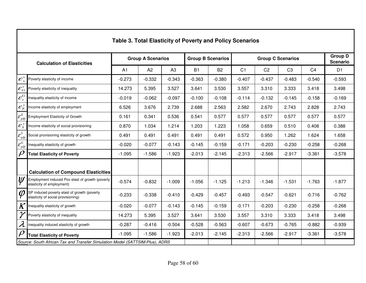|                                                              | Table 3. Total Elasticity of Poverty and Policy Scenarios                         |          |                          |                |           |                          |                |                                   |                |                |                |  |  |  |
|--------------------------------------------------------------|-----------------------------------------------------------------------------------|----------|--------------------------|----------------|-----------|--------------------------|----------------|-----------------------------------|----------------|----------------|----------------|--|--|--|
|                                                              | <b>Calculation of Elasticities</b>                                                |          | <b>Group A Scenarios</b> |                |           | <b>Group B Scenarios</b> |                | <b>Group D</b><br><b>Scenario</b> |                |                |                |  |  |  |
|                                                              |                                                                                   | A1       | A <sub>2</sub>           | A <sub>3</sub> | <b>B1</b> | <b>B2</b>                | C <sub>1</sub> | C <sub>2</sub>                    | C <sub>3</sub> | C <sub>4</sub> | D <sub>1</sub> |  |  |  |
| $\mathcal{E}_{y}^{\nu}$                                      | Poverty elasticity of income                                                      | $-0.273$ | $-0.332$                 | $-0.343$       | $-0.363$  | $-0.380$                 | $-0.407$       | $-0.437$                          | $-0.483$       | $-0.540$       | $-0.593$       |  |  |  |
| ${\cal E}^{\nu}_{G}$                                         | Poverty elasticity of inequality                                                  | 14.273   | 5.395                    | 3.527          | 3.641     | 3.530                    | 3.557          | 3.310                             | 3.333          | 3.418          | 3.498          |  |  |  |
| $\pmb{\mathcal{E}}_y^G$                                      | Inequality elasticity of income                                                   | $-0.019$ | $-0.062$                 | $-0.097$       | $-0.100$  | $-0.108$                 | $-0.114$       | $-0.132$                          | $-0.145$       | $-0.158$       | $-0.169$       |  |  |  |
| $\mathcal{E}^{\,y}_E$                                        | Income elasticity of employment                                                   | 6.526    | 3.676                    | 2.739          | 2.688     | 2.563                    | 2.582          | 2.670                             | 2.743          | 2.828          | 2.743          |  |  |  |
| $\overline{\mathcal{E}^E_{gdp}}$                             | <b>Employment Elasticity of Growth</b>                                            | 0.161    | 0.341                    | 0.536          | 0.541     | 0.577                    | 0.577          | 0.577                             | 0.577          | 0.577          | 0.577          |  |  |  |
| $\mathcal{E}^y_S$                                            | Income elasticity of social provisioning                                          | 0.870    | 1.034                    | 1.214          | 1.203     | 1.223                    | 1.058          | 0.659                             | 0.510          | 0.408          | 0.388          |  |  |  |
|                                                              | Social provisioning elasticity of growth                                          | 0.491    | 0.491                    | 0.491          | 0.491     | 0.491                    | 0.572          | 0.950                             | 1.262          | 1.624          | 1.658          |  |  |  |
| $\frac{\overline{\mathcal{E}^S_{gdp}}}{\mathcal{E}^G_{gdp}}$ | Inequality elasticity of growth                                                   | $-0.020$ | $-0.077$                 | $-0.143$       | $-0.145$  | $-0.159$                 | $-0.171$       | $-0.203$                          | $-0.230$       | $-0.258$       | $-0.268$       |  |  |  |
| $\boldsymbol{\rho}$                                          | <b>Total Elasticity of Poverty</b>                                                | $-1.095$ | $-1.586$                 | $-1.923$       | $-2.013$  | $-2.145$                 | $-2.313$       | $-2.566$                          | $-2.917$       | $-3.361$       | $-3.578$       |  |  |  |
|                                                              |                                                                                   |          |                          |                |           |                          |                |                                   |                |                |                |  |  |  |
|                                                              | <b>Calculation of Compound Elasticities</b>                                       |          |                          |                |           |                          |                |                                   |                |                |                |  |  |  |
| $ \psi\>$                                                    | Employment induced Pov elast of growth (poverty<br>elasticity of employment)      | $-0.574$ | $-0.832$                 | $-1.009$       | $-1.056$  | $-1.125$                 | $-1.213$       | $-1.346$                          | $-1.531$       | $-1.763$       | $-1.877$       |  |  |  |
| $\varphi$                                                    | SP induced poverty elast of growth (poverty<br>elasticity of social provisioning) | $-0.233$ | $-0.338$                 | $-0.410$       | $-0.429$  | $-0.457$                 | $-0.493$       | $-0.547$                          | $-0.621$       | $-0.716$       | $-0.762$       |  |  |  |
| $\boldsymbol{K}$                                             | nequality elasticity of growth                                                    | $-0.020$ | $-0.077$                 | $-0.143$       | $-0.145$  | $-0.159$                 | $-0.171$       | $-0.203$                          | $-0.230$       | $-0.258$       | $-0.268$       |  |  |  |
| $\gamma$                                                     | Poverty elasticity of inequality                                                  | 14.273   | 5.395                    | 3.527          | 3.641     | 3.530                    | 3.557          | 3.310                             | 3.333          | 3.418          | 3.498          |  |  |  |
| $\boldsymbol{\lambda}$                                       | inequality induced elasticity of growth                                           | $-0.287$ | $-0.416$                 | $-0.504$       | $-0.528$  | $-0.563$                 | $-0.607$       | $-0.673$                          | $-0.765$       | $-0.882$       | $-0.939$       |  |  |  |
| $\rho$                                                       | <b>Total Elasticity of Poverty</b>                                                | $-1.095$ | $-1.586$                 | $-1.923$       | $-2.013$  | $-2.145$                 | $-2.313$       | $-2.566$                          | $-2.917$       | $-3.361$       | $-3.578$       |  |  |  |
|                                                              | Source: South African Tax and Transfer Simulation Model (SATTSIM-Plus), ADRS      |          |                          |                |           |                          |                |                                   |                |                |                |  |  |  |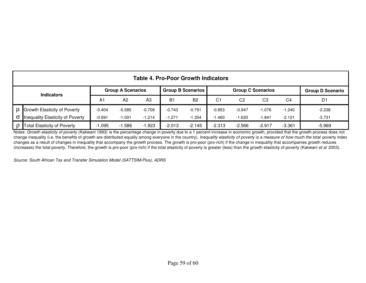|                   | <b>Table 4. Pro-Poor Growth Indicators</b> |                          |          |          |                          |                |          |                          |                         |          |                |  |  |
|-------------------|--------------------------------------------|--------------------------|----------|----------|--------------------------|----------------|----------|--------------------------|-------------------------|----------|----------------|--|--|
| <b>Indicators</b> |                                            | <b>Group A Scenarios</b> |          |          | <b>Group B Scenarios</b> |                |          | <b>Group C Scenarios</b> | <b>Group D Scenario</b> |          |                |  |  |
|                   |                                            | A1                       | A2       | A3       | B <sub>1</sub>           | B <sub>2</sub> | C1       | C2                       | C <sub>3</sub>          | C4       | D <sub>1</sub> |  |  |
|                   | <b>Growth Elasticity of Poverty</b>        | $-0.404$                 | $-0.585$ | $-0.709$ | $-0.743$                 | $-0.791$       | $-0.853$ | $-0.947$                 | $-1.076$                | $-1.240$ | $-2.238$       |  |  |
|                   | $\sigma$ Inequality Elasticity of Poverty  | $-0.691$                 | $-1.001$ | $-1.214$ | $-1.271$                 | $-1.354$       | 1.460    | $-1.620$                 | $-1.841$                | $-2.121$ | $-3.731$       |  |  |
| $\mathsf{D}$      | <b>Total Elasticity of Poverty</b>         | $-1.095$                 | $-1.586$ | $-1.923$ | $-2.013$                 | $-2.145$       | $-2.313$ | $-2.566$                 | $-2.917$                | $-3.361$ | $-5.969$       |  |  |

P Total Elasticity of Poverty 2.1.095 -1.586 -1.923 -2.013 -2.145 -2.313 -2.566 -2.917 -3.361 -3.361 -5.969 -5<br>Notes: *Growth elasticity of poverty (Kakwani 1993)* is the percentage change in poverty due to a 1 percent in change inequality (i.e. the benefits of growth are distributed equally among everyone in the country). Inequality elasticity of poverty is a measure of how much the total poverty index changes as a result of changes in inequality that accompany the growth process. The growth is pro-poor (pro-rich) if the change in inequality that accompanies growth reduces (increases) the total poverty. Therefore, the growth is pro-poor (pro-rich) if the total elasticity of poverty is greater (less) than the growth elasticity of poverty (Kakwani et al 2003).

Source: South African Tax and Transfer Simulation Model (SATTSIM-Plus), ADRS